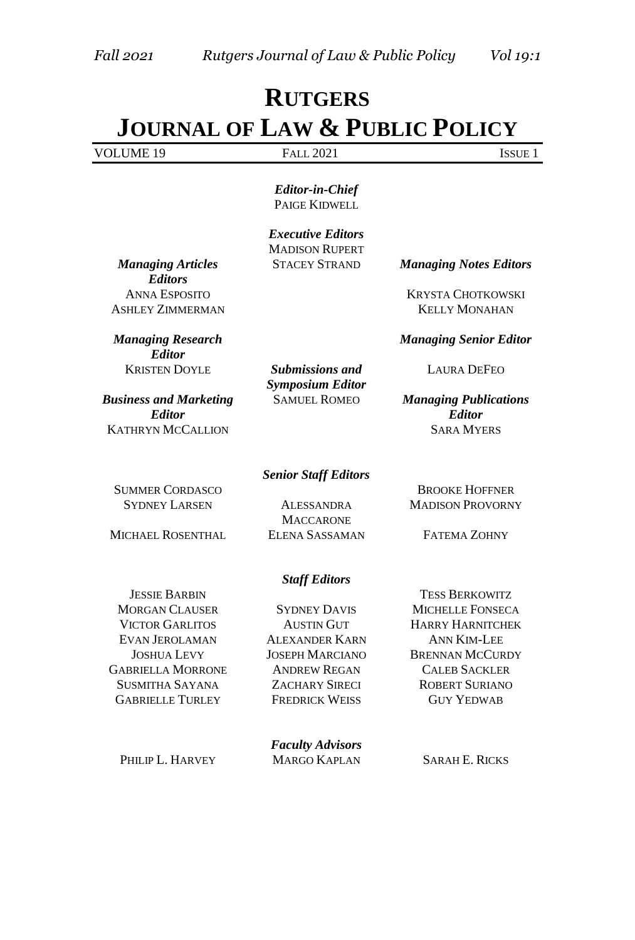# **RUTGERS JOURNAL OF LAW & PUBLIC POLICY**

| VOI UME 19<br>-<br>ຼ | 2021<br>$\cdots$<br>$\Delta$<br>$T = 1$ | 0011 |
|----------------------|-----------------------------------------|------|

*Editor-in-Chief* PAIGE KIDWELL

*Executive Editors* MADISON RUPERT

*Managing Articles Editors*  ASHLEY ZIMMERMAN KELLY MONAHAN

*Managing Research Editor*  KRISTEN DOYLE *Submissions and* 

*Business and Marketing Editor* KATHRYN MCCALLION SARA MYERS

**SUMMER CORDASCO** BROOKE HOFFNER SYDNEY LARSEN ALESSANDRA

*Symposium Editor* 

STACEY STRAND *Managing Notes Editors*

ANNA ESPOSITO KRYSTA CHOTKOWSKI

*Managing Senior Editor* 

LAURA DEFEO

SAMUEL ROMEO *Managing Publications Editor*

*Senior Staff Editors*

**MACCARONE** MICHAEL ROSENTHAL ELENA SASSAMAN FATEMA ZOHNY

MADISON PROVORNY

#### *Staff Editors*

JESSIE BARBIN TESS BERKOWITZ MORGAN CLAUSER SYDNEY DAVIS MICHELLE FONSECA EVAN JEROLAMAN ALEXANDER KARN ANN KIM-LEE GABRIELLA MORRONE ANDREW REGAN CALEB SACKLER SUSMITHA SAYANA ZACHARY SIRECI ROBERT SURIANO GABRIELLE TURLEY FREDRICK WEISS GUY YEDWAB

VICTOR GARLITOS AUSTIN GUT HARRY HARNITCHEK JOSHUA LEVY JOSEPH MARCIANO BRENNAN MCCURDY

*Faculty Advisors* PHILIP L. HARVEY MARGO KAPLAN SARAH E. RICKS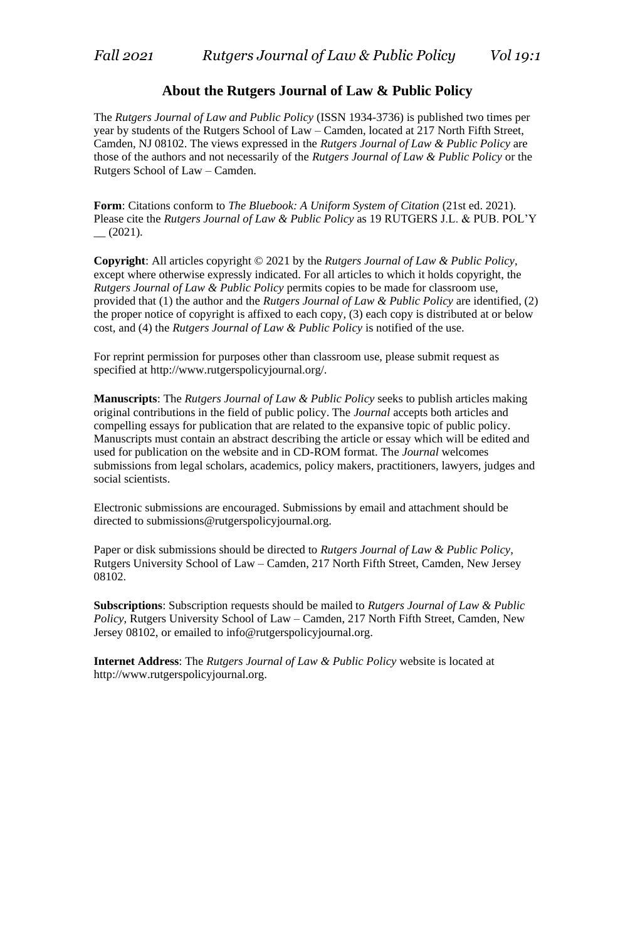#### **About the Rutgers Journal of Law & Public Policy**

The *Rutgers Journal of Law and Public Policy* (ISSN 1934-3736) is published two times per year by students of the Rutgers School of Law – Camden, located at 217 North Fifth Street, Camden, NJ 08102. The views expressed in the *Rutgers Journal of Law & Public Policy* are those of the authors and not necessarily of the *Rutgers Journal of Law & Public Policy* or the Rutgers School of Law – Camden.

Form: Citations conform to *The Bluebook: A Uniform System of Citation* (21st ed. 2021). Please cite the *Rutgers Journal of Law & Public Policy* as 19 RUTGERS J.L. & PUB. POL'Y  $-$  (2021).

**Copyright**: All articles copyright © 2021 by the *Rutgers Journal of Law & Public Policy*, except where otherwise expressly indicated. For all articles to which it holds copyright, the *Rutgers Journal of Law & Public Policy* permits copies to be made for classroom use, provided that (1) the author and the *Rutgers Journal of Law & Public Policy* are identified, (2) the proper notice of copyright is affixed to each copy, (3) each copy is distributed at or below cost, and (4) the *Rutgers Journal of Law & Public Policy* is notified of the use.

For reprint permission for purposes other than classroom use, please submit request as specified at http://www.rutgerspolicyjournal.org/.

**Manuscripts**: The *Rutgers Journal of Law & Public Policy* seeks to publish articles making original contributions in the field of public policy. The *Journal* accepts both articles and compelling essays for publication that are related to the expansive topic of public policy. Manuscripts must contain an abstract describing the article or essay which will be edited and used for publication on the website and in CD-ROM format. The *Journal* welcomes submissions from legal scholars, academics, policy makers, practitioners, lawyers, judges and social scientists.

Electronic submissions are encouraged. Submissions by email and attachment should be directed to submissions@rutgerspolicyjournal.org.

Paper or disk submissions should be directed to *Rutgers Journal of Law & Public Policy*, Rutgers University School of Law – Camden, 217 North Fifth Street, Camden, New Jersey 08102.

**Subscriptions**: Subscription requests should be mailed to *Rutgers Journal of Law & Public Policy*, Rutgers University School of Law – Camden, 217 North Fifth Street, Camden, New Jersey 08102, or emailed to info@rutgerspolicyjournal.org.

**Internet Address**: The *Rutgers Journal of Law & Public Policy* website is located at http://www.rutgerspolicyjournal.org.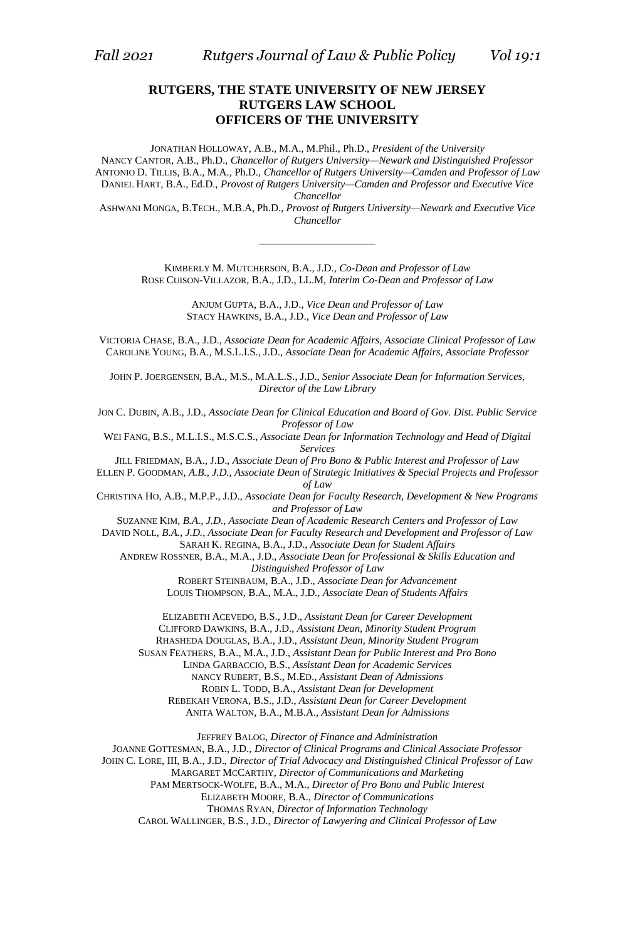#### **RUTGERS, THE STATE UNIVERSITY OF NEW JERSEY RUTGERS LAW SCHOOL OFFICERS OF THE UNIVERSITY**

JONATHAN HOLLOWAY, A.B., M.A., M.Phil., Ph.D., *President of the University* NANCY CANTOR, A.B., Ph.D., *Chancellor of Rutgers University—Newark and Distinguished Professor* ANTONIO D. TILLIS, B.A., M.A., Ph.D., *Chancellor of Rutgers University—Camden and Professor of Law* DANIEL HART, B.A., Ed.D., *Provost of Rutgers University—Camden and Professor and Executive Vice Chancellor*

ASHWANI MONGA, B.TECH., M.B.A, Ph.D., *Provost of Rutgers University—Newark and Executive Vice Chancellor*

KIMBERLY M. MUTCHERSON, B.A., J.D., *Co-Dean and Professor of Law* ROSE CUISON-VILLAZOR, B.A., J.D., LL.M, *Interim Co-Dean and Professor of Law*

> ANJUM GUPTA, B.A., J.D., *Vice Dean and Professor of Law* STACY HAWKINS, B.A., J.D., *Vice Dean and Professor of Law*

VICTORIA CHASE, B.A., J.D., *Associate Dean for Academic Affairs, Associate Clinical Professor of Law* CAROLINE YOUNG, B.A., M.S.L.I.S., J.D., *Associate Dean for Academic Affairs, Associate Professor*

JOHN P. JOERGENSEN, B.A., M.S., M.A.L.S., J.D., *Senior Associate Dean for Information Services, Director of the Law Library*

JON C. DUBIN, A.B., J.D., *Associate Dean for Clinical Education and Board of Gov. Dist. Public Service Professor of Law*

WEI FANG, B.S., M.L.I.S., M.S.C.S., *Associate Dean for Information Technology and Head of Digital Services*

JILL FRIEDMAN, B.A., J.D., *Associate Dean of Pro Bono & Public Interest and Professor of Law*

ELLEN P. GOODMAN*, A.B., J.D., Associate Dean of Strategic Initiatives & Special Projects and Professor of Law*

CHRISTINA HO, A.B., M.P.P., J.D., *Associate Dean for Faculty Research, Development & New Programs and Professor of Law*

SUZANNE KIM*, B.A., J.D., Associate Dean of Academic Research Centers and Professor of Law*

DAVID NOLL*, B.A., J.D., Associate Dean for Faculty Research and Development and Professor of Law*

SARAH K. REGINA, B.A., J.D., *Associate Dean for Student Affairs*

ANDREW ROSSNER, B.A., M.A., J.D., *Associate Dean for Professional & Skills Education and Distinguished Professor of Law*

ROBERT STEINBAUM, B.A., J.D., *Associate Dean for Advancement* LOUIS THOMPSON, B.A., M.A., J.D., *Associate Dean of Students Affairs*

ELIZABETH ACEVEDO, B.S., J.D., *Assistant Dean for Career Development* CLIFFORD DAWKINS, B.A., J.D., *Assistant Dean, Minority Student Program* RHASHEDA DOUGLAS, B.A., J.D., *Assistant Dean, Minority Student Program* SUSAN FEATHERS, B.A., M.A., J.D., *Assistant Dean for Public Interest and Pro Bono* LINDA GARBACCIO, B.S., *Assistant Dean for Academic Services* NANCY RUBERT, B.S., M.ED., *Assistant Dean of Admissions* ROBIN L. TODD, B.A., *Assistant Dean for Development* REBEKAH VERONA, B.S., J.D., *Assistant Dean for Career Development*

ANITA WALTON, B.A., M.B.A., *Assistant Dean for Admissions*

JEFFREY BALOG, *Director of Finance and Administration* JOANNE GOTTESMAN, B.A., J.D., *Director of Clinical Programs and Clinical Associate Professor* JOHN C. LORE, III, B.A., J.D., *Director of Trial Advocacy and Distinguished Clinical Professor of Law* MARGARET MCCARTHY, *Director of Communications and Marketing* PAM MERTSOCK-WOLFE, B.A., M.A., *Director of Pro Bono and Public Interest* ELIZABETH MOORE, B.A., *Director of Communications* THOMAS RYAN, *Director of Information Technology* CAROL WALLINGER, B.S., J.D., *Director of Lawyering and Clinical Professor of Law*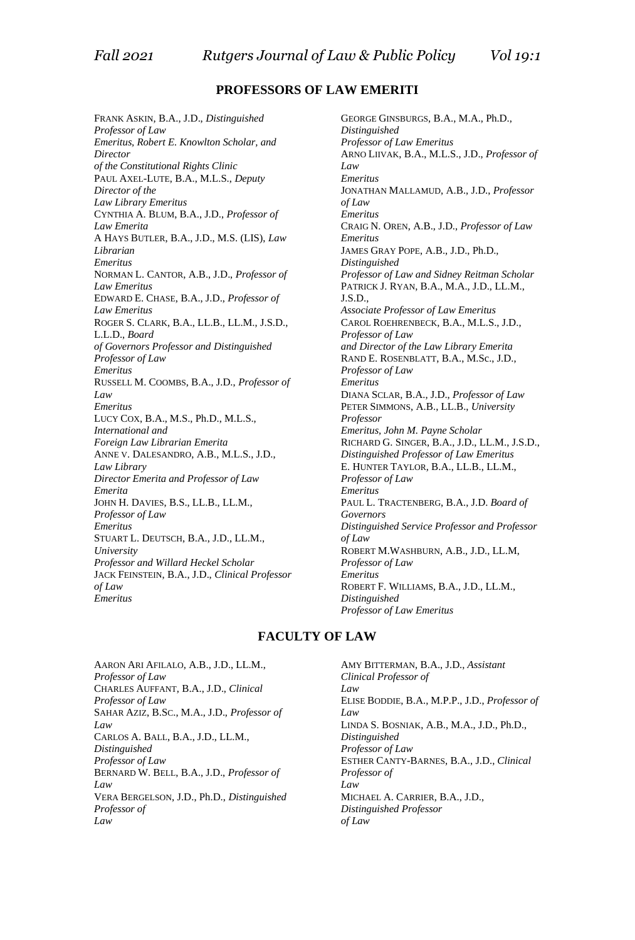#### **PROFESSORS OF LAW EMERITI**

FRANK ASKIN, B.A., J.D., *Distinguished Professor of Law Emeritus, Robert E. Knowlton Scholar, and Director of the Constitutional Rights Clinic* PAUL AXEL-LUTE, B.A., M.L.S., *Deputy Director of the Law Library Emeritus* CYNTHIA A. BLUM, B.A., J.D., *Professor of Law Emerita* A HAYS BUTLER, B.A., J.D., M.S. (LIS), *Law Librarian Emeritus* NORMAN L. CANTOR, A.B., J.D., *Professor of Law Emeritus* EDWARD E. CHASE, B.A., J.D., *Professor of Law Emeritus* ROGER S. CLARK, B.A., LL.B., LL.M., J.S.D., L.L.D., *Board of Governors Professor and Distinguished Professor of Law Emeritus* RUSSELL M. COOMBS, B.A., J.D., *Professor of Law Emeritus* LUCY COX, B.A., M.S., Ph.D., M.L.S., *International and Foreign Law Librarian Emerita* ANNE V. DALESANDRO, A.B., M.L.S., J.D., *Law Library Director Emerita and Professor of Law Emerita* JOHN H. DAVIES, B.S., LL.B., LL.M., *Professor of Law Emeritus* STUART L. DEUTSCH, B.A., J.D., LL.M., *University Professor and Willard Heckel Scholar* JACK FEINSTEIN, B.A., J.D., *Clinical Professor of Law Emeritus*

GEORGE GINSBURGS, B.A., M.A., Ph.D., *Distinguished Professor of Law Emeritus* ARNO LIIVAK, B.A., M.L.S., J.D., *Professor of Law Emeritus* JONATHAN MALLAMUD, A.B., J.D., *Professor of Law Emeritus* CRAIG N. OREN, A.B., J.D., *Professor of Law Emeritus* JAMES GRAY POPE, A.B., J.D., Ph.D., *Distinguished Professor of Law and Sidney Reitman Scholar* PATRICK J. RYAN, B.A., M.A., J.D., LL.M., J.S.D., *Associate Professor of Law Emeritus* CAROL ROEHRENBECK, B.A., M.L.S., J.D., *Professor of Law and Director of the Law Library Emerita* RAND E. ROSENBLATT, B.A., M.Sc., J.D., *Professor of Law Emeritus* DIANA SCLAR, B.A., J.D., *Professor of Law* PETER SIMMONS, A.B., LL.B., *University Professor Emeritus, John M. Payne Scholar* RICHARD G. SINGER, B.A., J.D., LL.M., J.S.D., *Distinguished Professor of Law Emeritus* E. HUNTER TAYLOR*,* B.A., LL.B., LL.M., *Professor of Law Emeritus* PAUL L. TRACTENBERG, B.A., J.D. *Board of Governors Distinguished Service Professor and Professor of Law* ROBERT M.WASHBURN, A.B., J.D., LL.M, *Professor of Law Emeritus* ROBERT F. WILLIAMS, B.A., J.D., LL.M., *Distinguished Professor of Law Emeritus*

#### **FACULTY OF LAW**

AARON ARI AFILALO, A.B., J.D., LL.M., *Professor of Law* CHARLES AUFFANT, B.A., J.D., *Clinical Professor of Law* SAHAR AZIZ, B.SC., M.A., J.D., *Professor of Law* CARLOS A. BALL, B.A., J.D., LL.M., *Distinguished Professor of Law* BERNARD W. BELL, B.A., J.D., *Professor of Law* VERA BERGELSON, J.D., Ph.D., *Distinguished Professor of Law*

AMY BITTERMAN, B.A., J.D., *Assistant Clinical Professor of Law* ELISE BODDIE, B.A., M.P.P., J.D., *Professor of Law* LINDA S. BOSNIAK, A.B., M.A., J.D., Ph.D., *Distinguished Professor of Law* ESTHER CANTY-BARNES, B.A., J.D., *Clinical Professor of Law* MICHAEL A. CARRIER, B.A., J.D., *Distinguished Professor of Law*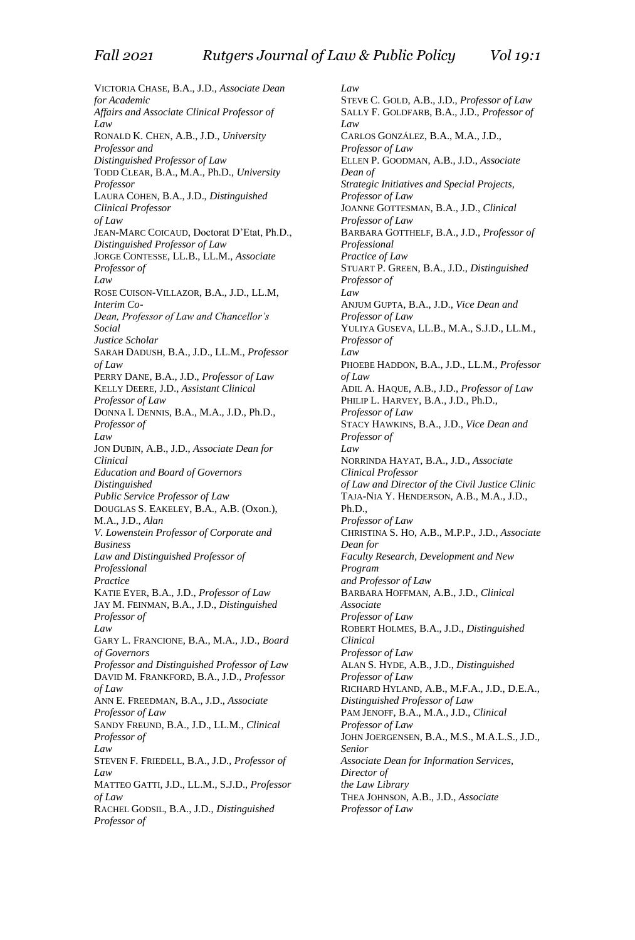VICTORIA CHASE, B.A., J.D., *Associate Dean for Academic Affairs and Associate Clinical Professor of Law* RONALD K. CHEN, A.B., J.D., *University Professor and Distinguished Professor of Law* TODD CLEAR, B.A., M.A., Ph.D., *University Professor* LAURA COHEN, B.A., J.D., *Distinguished Clinical Professor of Law* JEAN-MARC COICAUD, Doctorat D'Etat, Ph.D., *Distinguished Professor of Law* JORGE CONTESSE, LL.B., LL.M., *Associate Professor of Law* ROSE CUISON-VILLAZOR, B.A., J.D., LL.M, *Interim Co-Dean, Professor of Law and Chancellor's Social Justice Scholar* SARAH DADUSH, B.A., J.D., LL.M., *Professor of Law* PERRY DANE, B.A., J.D., *Professor of Law* KELLY DEERE, J.D., *Assistant Clinical Professor of Law* DONNA I. DENNIS, B.A., M.A., J.D., Ph.D., *Professor of Law* JON DUBIN, A.B., J.D., *Associate Dean for Clinical Education and Board of Governors Distinguished Public Service Professor of Law* DOUGLAS S. EAKELEY, B.A., A.B. (Oxon.), M.A., J.D., *Alan V. Lowenstein Professor of Corporate and Business Law and Distinguished Professor of Professional Practice* KATIE EYER, B.A., J.D., *Professor of Law* JAY M. FEINMAN, B.A., J.D., *Distinguished Professor of Law* GARY L. FRANCIONE, B.A., M.A., J.D., *Board of Governors Professor and Distinguished Professor of Law* DAVID M. FRANKFORD, B.A., J.D., *Professor of Law* ANN E. FREEDMAN, B.A., J.D., *Associate Professor of Law* SANDY FREUND, B.A., J.D., LL.M., *Clinical Professor of Law* STEVEN F. FRIEDELL, B.A., J.D., *Professor of Law* MATTEO GATTI, J.D., LL.M., S.J.D., *Professor of Law* RACHEL GODSIL, B.A., J.D., *Distinguished Professor of*

*Law* STEVE C. GOLD, A.B., J.D., *Professor of Law* SALLY F. GOLDFARB, B.A., J.D., *Professor of Law* CARLOS GONZÁLEZ, B.A., M.A., J.D., *Professor of Law* ELLEN P. GOODMAN, A.B., J.D., *Associate Dean of Strategic Initiatives and Special Projects, Professor of Law* JOANNE GOTTESMAN, B.A., J.D., *Clinical Professor of Law* BARBARA GOTTHELF, B.A., J.D., *Professor of Professional Practice of Law* STUART P. GREEN, B.A., J.D., *Distinguished Professor of Law* ANJUM GUPTA, B.A., J.D., *Vice Dean and Professor of Law* YULIYA GUSEVA, LL.B., M.A., S.J.D., LL.M., *Professor of Law* PHOEBE HADDON, B.A., J.D., LL.M., *Professor of Law* ADIL A. HAQUE, A.B., J.D., *Professor of Law* PHILIP L. HARVEY, B.A., J.D., Ph.D., *Professor of Law* STACY HAWKINS, B.A., J.D., *Vice Dean and Professor of Law* NORRINDA HAYAT, B.A., J.D., *Associate Clinical Professor of Law and Director of the Civil Justice Clinic* TAJA-NIA Y. HENDERSON, A.B., M.A., J.D., Ph.D., *Professor of Law* CHRISTINA S. HO, A.B., M.P.P., J.D., *Associate Dean for Faculty Research, Development and New Program and Professor of Law* BARBARA HOFFMAN, A.B., J.D., *Clinical Associate Professor of Law* ROBERT HOLMES, B.A., J.D., *Distinguished Clinical Professor of Law* ALAN S. HYDE, A.B., J.D., *Distinguished Professor of Law* RICHARD HYLAND, A.B., M.F.A., J.D., D.E.A., *Distinguished Professor of Law* PAM JENOFF, B.A., M.A., J.D., *Clinical Professor of Law* JOHN JOERGENSEN, B.A., M.S., M.A.L.S., J.D., *Senior Associate Dean for Information Services, Director of the Law Library* THEA JOHNSON, A.B., J.D., *Associate Professor of Law*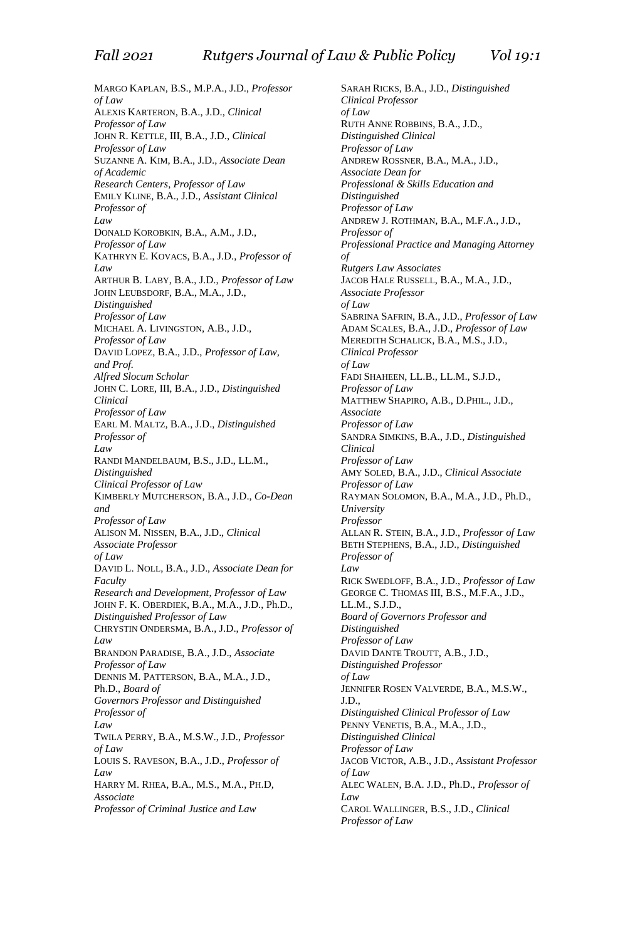MARGO KAPLAN, B.S., M.P.A., J.D., *Professor of Law* ALEXIS KARTERON, B.A., J.D., *Clinical Professor of Law* JOHN R. KETTLE, III, B.A., J.D., *Clinical Professor of Law* SUZANNE A. KIM, B.A., J.D., *Associate Dean of Academic Research Centers*, *Professor of Law* EMILY KLINE, B.A., J.D., *Assistant Clinical Professor of Law* DONALD KOROBKIN, B.A., A.M., J.D., *Professor of Law* KATHRYN E. KOVACS, B.A., J.D., *Professor of Law* ARTHUR B. LABY, B.A., J.D., *Professor of Law* JOHN LEUBSDORF, B.A., M.A., J.D., *Distinguished Professor of Law* MICHAEL A. LIVINGSTON, A.B., J.D., *Professor of Law* DAVID LOPEZ, B.A., J.D., *Professor of Law, and Prof. Alfred Slocum Scholar* JOHN C. LORE, III, B.A., J.D., *Distinguished Clinical Professor of Law* EARL M. MALTZ, B.A., J.D., *Distinguished Professor of Law* RANDI MANDELBAUM, B.S., J.D., LL.M., *Distinguished Clinical Professor of Law* KIMBERLY MUTCHERSON, B.A., J.D., *Co-Dean and Professor of Law* ALISON M. NISSEN, B.A., J.D., *Clinical Associate Professor of Law* DAVID L. NOLL, B.A., J.D., *Associate Dean for Faculty Research and Development*, *Professor of Law* JOHN F. K. OBERDIEK, B.A., M.A., J.D., Ph.D., *Distinguished Professor of Law* CHRYSTIN ONDERSMA, B.A., J.D., *Professor of Law* BRANDON PARADISE, B.A., J.D., *Associate Professor of Law* DENNIS M. PATTERSON, B.A., M.A., J.D., Ph.D., *Board of Governors Professor and Distinguished Professor of Law* TWILA PERRY, B.A., M.S.W., J.D., *Professor of Law* LOUIS S. RAVESON, B.A., J.D., *Professor of Law* HARRY M. RHEA, B.A., M.S., M.A., PH.D, *Associate Professor of Criminal Justice and Law*

SARAH RICKS, B.A., J.D., *Distinguished Clinical Professor of Law* RUTH ANNE ROBBINS, B.A., J.D., *Distinguished Clinical Professor of Law* ANDREW ROSSNER, B.A., M.A., J.D., *Associate Dean for Professional & Skills Education and Distinguished Professor of Law* ANDREW J. ROTHMAN, B.A., M.F.A., J.D., *Professor of Professional Practice and Managing Attorney of Rutgers Law Associates* JACOB HALE RUSSELL, B.A., M.A., J.D., *Associate Professor of Law* SABRINA SAFRIN, B.A., J.D., *Professor of Law* ADAM SCALES, B.A., J.D., *Professor of Law* MEREDITH SCHALICK, B.A., M.S., J.D., *Clinical Professor of Law* FADI SHAHEEN, LL.B., LL.M., S.J.D., *Professor of Law* MATTHEW SHAPIRO, A.B., D.PHIL., J.D., *Associate Professor of Law* SANDRA SIMKINS, B.A., J.D., *Distinguished Clinical Professor of Law* AMY SOLED, B.A., J.D., *Clinical Associate Professor of Law* RAYMAN SOLOMON, B.A., M.A., J.D., Ph.D., *University Professor* ALLAN R. STEIN, B.A., J.D., *Professor of Law* BETH STEPHENS, B.A., J.D., *Distinguished Professor of Law* RICK SWEDLOFF, B.A., J.D., *Professor of Law* GEORGE C. THOMAS III, B.S., M.F.A., J.D., LL.M., S.J.D., *Board of Governors Professor and Distinguished Professor of Law* DAVID DANTE TROUTT, A.B., J.D., *Distinguished Professor of Law* JENNIFER ROSEN VALVERDE, B.A., M.S.W., J.D., *Distinguished Clinical Professor of Law* PENNY VENETIS, B.A., M.A., J.D., *Distinguished Clinical Professor of Law* JACOB VICTOR, A.B., J.D., *Assistant Professor of Law* ALEC WALEN, B.A. J.D., Ph.D., *Professor of Law* CAROL WALLINGER, B.S., J.D., *Clinical Professor of Law*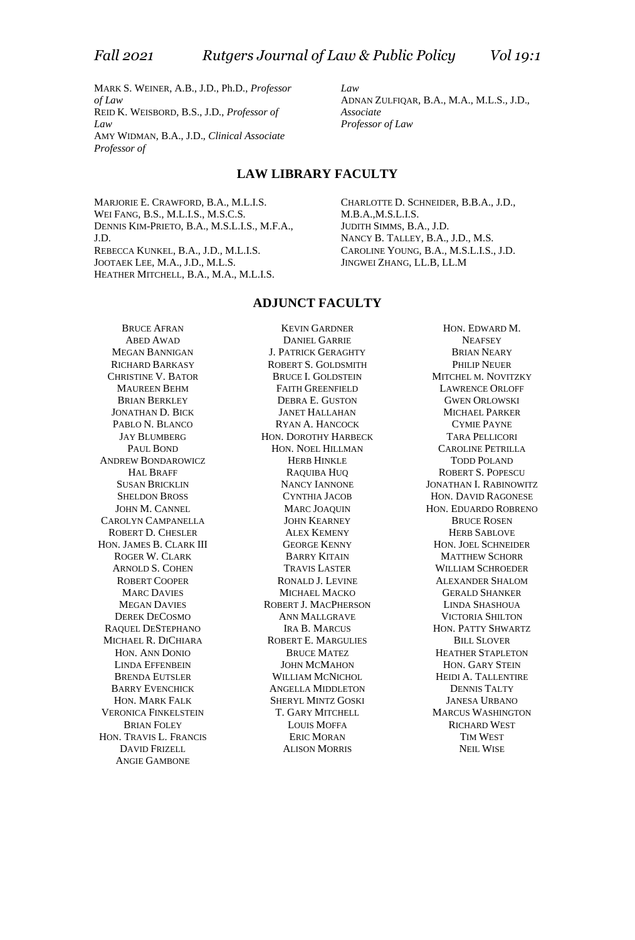MARK S. WEINER, A.B., J.D., Ph.D., *Professor of Law* REID K. WEISBORD, B.S., J.D., *Professor of Law* AMY WIDMAN, B.A., J.D., *Clinical Associate Professor of*

*Law* ADNAN ZULFIQAR, B.A., M.A., M.L.S., J.D., *Associate Professor of Law*

#### **LAW LIBRARY FACULTY**

MARJORIE E. CRAWFORD, B.A., M.L.I.S. WEI FANG, B.S., M.L.I.S., M.S.C.S. DENNIS KIM-PRIETO, B.A., M.S.L.I.S., M.F.A., J.D. REBECCA KUNKEL, B.A., J.D., M.L.I.S. JOOTAEK LEE, M.A., J.D., M.L.S. HEATHER MITCHELL, B.A., M.A., M.L.I.S.

CHARLOTTE D. SCHNEIDER, B.B.A., J.D., M.B.A.,M.S.L.I.S. JUDITH SIMMS, B.A., J.D. NANCY B. TALLEY, B.A., J.D., M.S. CAROLINE YOUNG, B.A., M.S.L.I.S., J.D. JINGWEI ZHANG, LL.B, LL.M

#### **ADJUNCT FACULTY**

BRUCE AFRAN ABED AWAD MEGAN BANNIGAN RICHARD BARKASY CHRISTINE V. BATOR MAUREEN BEHM BRIAN BERKLEY JONATHAN D. BICK PABLO N. BLANCO JAY BLUMBERG PAUL BOND ANDREW BONDAROWICZ HAL BRAFF SUSAN BRICKLIN SHELDON BROSS JOHN M. CANNEL CAROLYN CAMPANELLA ROBERT D. CHESLER HON. JAMES B. CLARK III ROGER W. CLARK ARNOLD S. COHEN ROBERT COOPER MARC DAVIES MEGAN DAVIES DEREK DECOSMO RAQUEL DESTEPHANO MICHAEL R. DICHIARA HON. ANN DONIO LINDA EFFENBEIN BRENDA EUTSLER BARRY EVENCHICK HON. MARK FALK VERONICA FINKELSTEIN BRIAN FOLEY HON. TRAVIS L. FRANCIS DAVID FRIZELL ANGIE GAMBONE

KEVIN GARDNER DANIEL GARRIE J. PATRICK GERAGHTY ROBERT S. GOLDSMITH BRUCE I. GOLDSTEIN FAITH GREENFIELD DEBRA E. GUSTON JANET HALLAHAN RYAN A. HANCOCK HON. DOROTHY HARBECK HON. NOEL HILLMAN HERB HINKLE RAQUIBA HUQ NANCY IANNONE CYNTHIA JACOB MARC JOAQUIN JOHN KEARNEY ALEX KEMENY GEORGE KENNY BARRY KITAIN TRAVIS LASTER RONALD J. LEVINE MICHAEL MACKO ROBERT J. MACPHERSON ANN MALLGRAVE IRA B. MARCUS ROBERT E. MARGULIES BRUCE MATEZ JOHN MCMAHON WILLIAM MCNICHOL ANGELLA MIDDLETON SHERYL MINTZ GOSKI T. GARY MITCHELL LOUIS MOFFA ERIC MORAN ALISON MORRIS

HON. EDWARD M. **NEAFSEY** BRIAN NEARY PHILIP NEUER MITCHEL M. NOVITZKY LAWRENCE ORLOFF GWEN ORLOWSKI MICHAEL PARKER CYMIE PAYNE TARA PELLICORI CAROLINE PETRILLA TODD POLAND ROBERT S. POPESCU JONATHAN I. RABINOWITZ HON. DAVID RAGONESE HON. EDUARDO ROBRENO BRUCE ROSEN HERB SABLOVE HON. JOEL SCHNEIDER MATTHEW SCHORR WILLIAM SCHROEDER ALEXANDER SHALOM GERALD SHANKER LINDA SHASHOUA VICTORIA SHILTON HON. PATTY SHWARTZ **BILL SLOVER** HEATHER STAPLETON HON. GARY STEIN HEIDI A. TALLENTIRE DENNIS TALTY JANESA URBANO MARCUS WASHINGTON RICHARD WEST TIM WEST NEIL WISE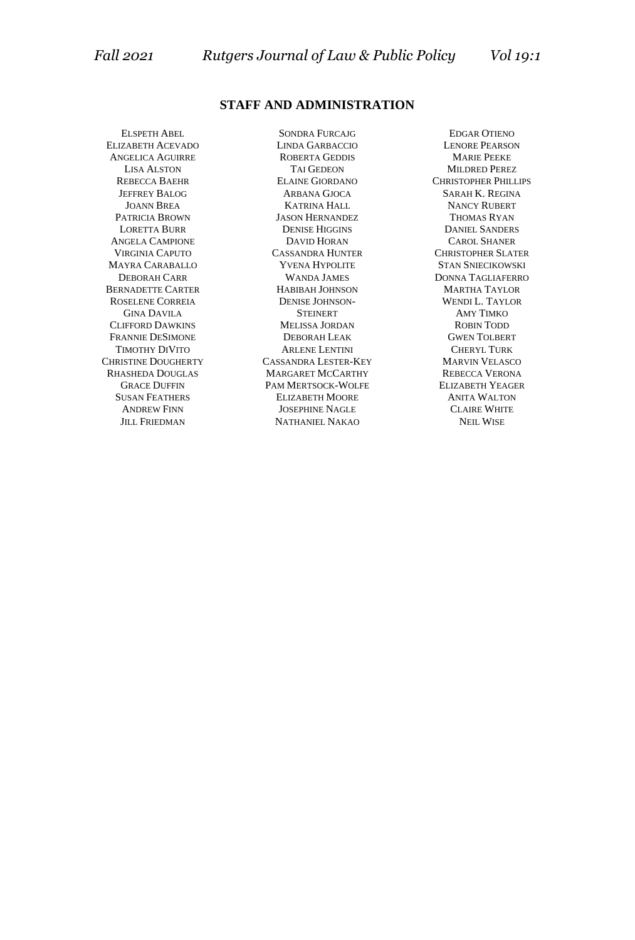#### **STAFF AND ADMINISTRATION**

ELSPETH ABEL ELIZABETH ACEVADO ANGELICA AGUIRRE LISA ALSTON REBECCA BAEHR JEFFREY BALOG JOANN BREA PATRICIA BROWN LORETTA BURR ANGELA CAMPIONE VIRGINIA CAPUTO MAYRA CARABALLO DEBORAH CARR BERNADETTE CARTER ROSELENE CORREIA GINA DAVILA CLIFFORD DAWKINS FRANNIE DESIMONE TIMOTHY DIVITO CHRISTINE DOUGHERTY RHASHEDA DOUGLAS GRACE DUFFIN SUSAN FEATHERS ANDREW FINN JILL FRIEDMAN

SONDRA FURCAJG LINDA GARBACCIO ROBERTA GEDDIS TAI GEDEON ELAINE GIORDANO ARBANA GJOCA KATRINA HALL JASON HERNANDEZ DENISE HIGGINS DAVID HORAN CASSANDRA HUNTER YVENA HYPOLITE WANDA JAMES HABIBAH JOHNSON DENISE JOHNSON-STEINERT MELISSA JORDAN DEBORAH LEAK ARLENE LENTINI CASSANDRA LESTER-KEY MARGARET MCCARTHY PAM MERTSOCK-WOLFE ELIZABETH MOORE JOSEPHINE NAGLE NATHANIEL NAKAO

EDGAR OTIENO LENORE PEARSON MARIE PEEKE MILDRED PEREZ CHRISTOPHER PHILLIPS SARAH K. REGINA NANCY RUBERT THOMAS RYAN DANIEL SANDERS CAROL SHANER CHRISTOPHER SLATER STAN SNIECIKOWSKI DONNA TAGLIAFERRO MARTHA TAYLOR WENDI L. TAYLOR AMY TIMKO ROBIN TODD GWEN TOLBERT CHERYL TURK MARVIN VELASCO REBECCA VERONA ELIZABETH YEAGER ANITA WALTON CLAIRE WHITE NEIL WISE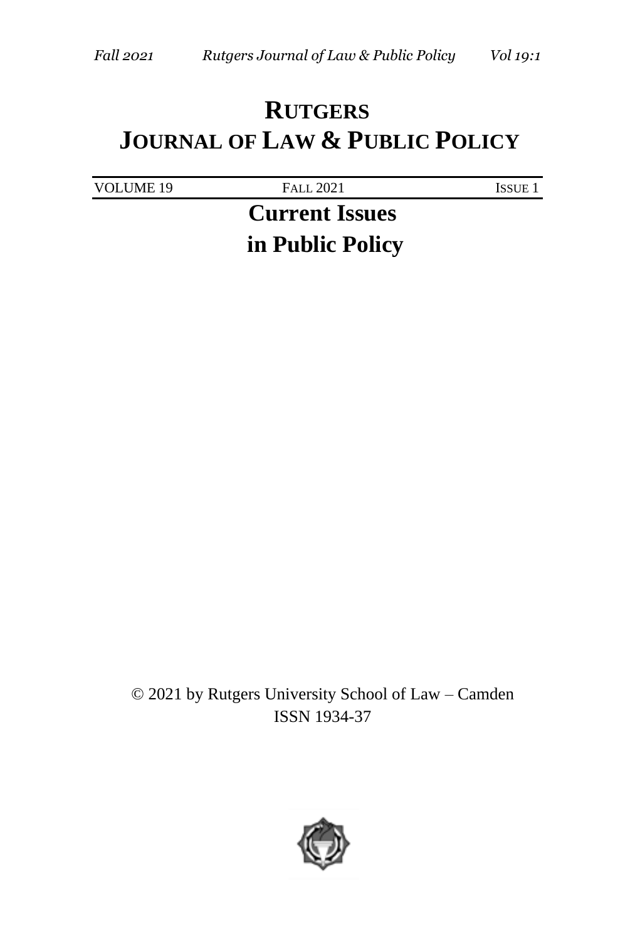# **RUTGERS JOURNAL OF LAW & PUBLIC POLICY**

| VOLUME 19 | <b>FALL 2021</b>      | <b>ISSUE 1</b> |
|-----------|-----------------------|----------------|
|           | <b>Current Issues</b> |                |
|           | in Public Policy      |                |

© 2021 by Rutgers University School of Law – Camden ISSN 1934-37

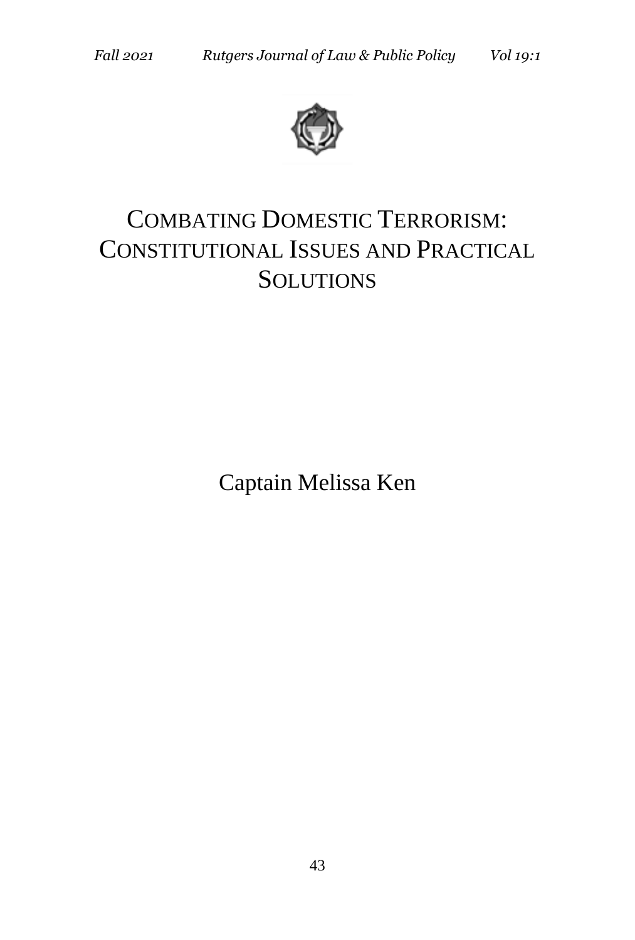

# COMBATING DOMESTIC TERRORISM: CONSTITUTIONAL ISSUES AND PRACTICAL **SOLUTIONS**

Captain Melissa Ken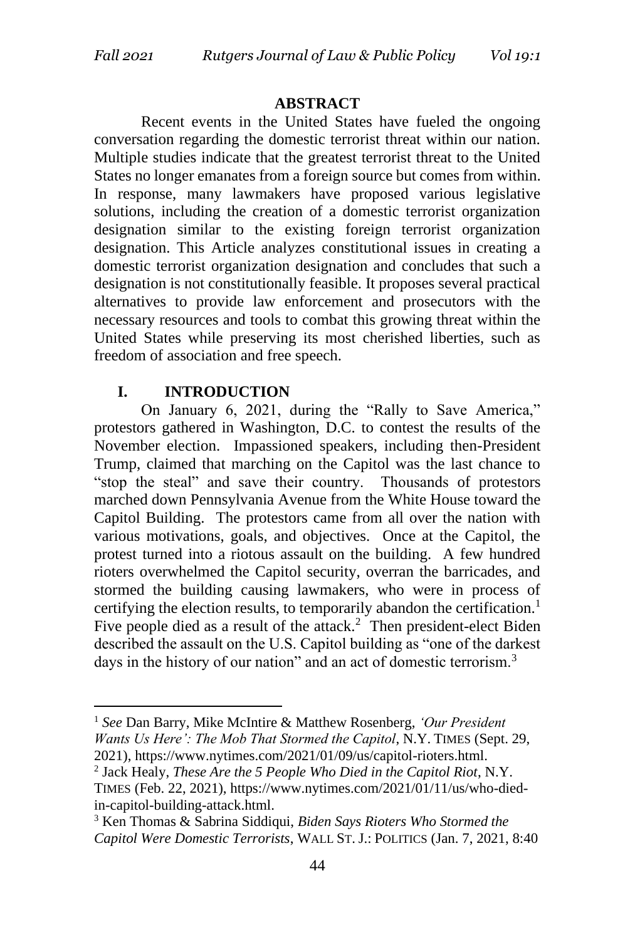#### **ABSTRACT**

Recent events in the United States have fueled the ongoing conversation regarding the domestic terrorist threat within our nation. Multiple studies indicate that the greatest terrorist threat to the United States no longer emanates from a foreign source but comes from within. In response, many lawmakers have proposed various legislative solutions, including the creation of a domestic terrorist organization designation similar to the existing foreign terrorist organization designation. This Article analyzes constitutional issues in creating a domestic terrorist organization designation and concludes that such a designation is not constitutionally feasible. It proposes several practical alternatives to provide law enforcement and prosecutors with the necessary resources and tools to combat this growing threat within the United States while preserving its most cherished liberties, such as freedom of association and free speech.

#### **I. INTRODUCTION**

On January 6, 2021, during the "Rally to Save America," protestors gathered in Washington, D.C. to contest the results of the November election. Impassioned speakers, including then-President Trump, claimed that marching on the Capitol was the last chance to "stop the steal" and save their country. Thousands of protestors marched down Pennsylvania Avenue from the White House toward the Capitol Building. The protestors came from all over the nation with various motivations, goals, and objectives. Once at the Capitol, the protest turned into a riotous assault on the building. A few hundred rioters overwhelmed the Capitol security, overran the barricades, and stormed the building causing lawmakers, who were in process of certifying the election results, to temporarily abandon the certification.<sup>1</sup> Five people died as a result of the attack.<sup>2</sup> Then president-elect Biden described the assault on the U.S. Capitol building as "one of the darkest days in the history of our nation" and an act of domestic terrorism.<sup>3</sup>

<sup>1</sup> *See* Dan Barry, Mike McIntire & Matthew Rosenberg, *'Our President Wants Us Here': The Mob That Stormed the Capitol*, N.Y. TIMES (Sept. 29, 2021), https://www.nytimes.com/2021/01/09/us/capitol-rioters.html.

<sup>2</sup> Jack Healy, *These Are the 5 People Who Died in the Capitol Riot*, N.Y. TIMES (Feb. 22, 2021), https://www.nytimes.com/2021/01/11/us/who-diedin-capitol-building-attack.html.

<sup>3</sup> Ken Thomas & Sabrina Siddiqui, *Biden Says Rioters Who Stormed the Capitol Were Domestic Terrorists*, WALL ST. J.: POLITICS (Jan. 7, 2021, 8:40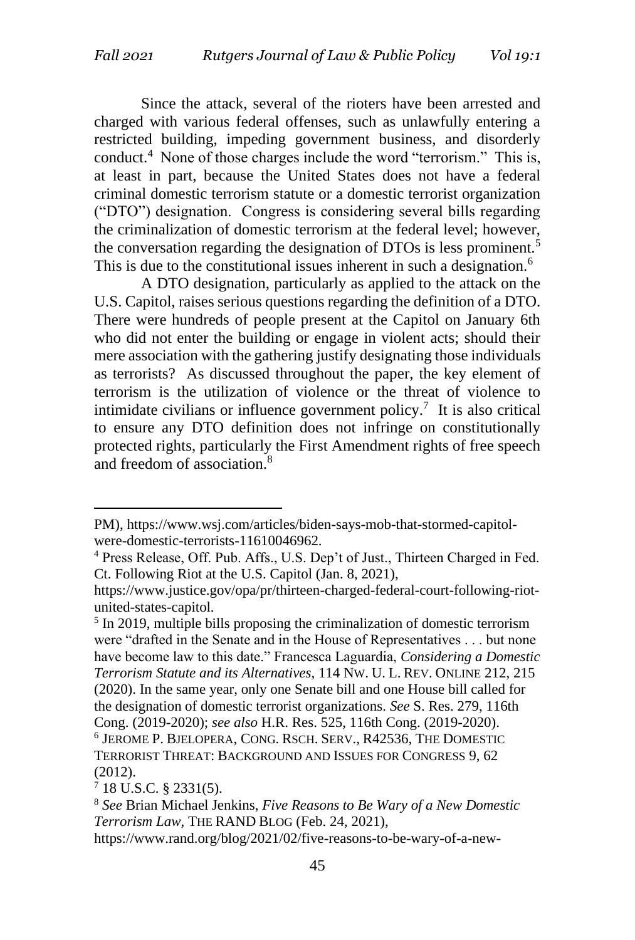Since the attack, several of the rioters have been arrested and charged with various federal offenses, such as unlawfully entering a restricted building, impeding government business, and disorderly conduct.<sup>4</sup> None of those charges include the word "terrorism." This is, at least in part, because the United States does not have a federal criminal domestic terrorism statute or a domestic terrorist organization ("DTO") designation. Congress is considering several bills regarding the criminalization of domestic terrorism at the federal level; however, the conversation regarding the designation of DTOs is less prominent.<sup>5</sup> This is due to the constitutional issues inherent in such a designation.<sup>6</sup>

A DTO designation, particularly as applied to the attack on the U.S. Capitol, raises serious questions regarding the definition of a DTO. There were hundreds of people present at the Capitol on January 6th who did not enter the building or engage in violent acts; should their mere association with the gathering justify designating those individuals as terrorists? As discussed throughout the paper, the key element of terrorism is the utilization of violence or the threat of violence to intimidate civilians or influence government policy.<sup>7</sup> It is also critical to ensure any DTO definition does not infringe on constitutionally protected rights, particularly the First Amendment rights of free speech and freedom of association.<sup>8</sup>

 $7$  18 U.S.C. § 2331(5).

PM), https://www.wsj.com/articles/biden-says-mob-that-stormed-capitolwere-domestic-terrorists-11610046962.

<sup>4</sup> Press Release, Off. Pub. Affs., U.S. Dep't of Just., Thirteen Charged in Fed. Ct. Following Riot at the U.S. Capitol (Jan. 8, 2021),

https://www.justice.gov/opa/pr/thirteen-charged-federal-court-following-riotunited-states-capitol.

<sup>&</sup>lt;sup>5</sup> In 2019, multiple bills proposing the criminalization of domestic terrorism were "drafted in the Senate and in the House of Representatives . . . but none have become law to this date." Francesca Laguardia, *Considering a Domestic Terrorism Statute and its Alternatives*, 114 NW. U. L. REV. ONLINE 212, 215 (2020). In the same year, only one Senate bill and one House bill called for the designation of domestic terrorist organizations. *See* S. Res. 279, 116th Cong. (2019-2020); *see also* H.R. Res. 525, 116th Cong. (2019-2020). 6 JEROME P. BJELOPERA, CONG. RSCH. SERV., R42536, THE DOMESTIC TERRORIST THREAT: BACKGROUND AND ISSUES FOR CONGRESS 9, 62 (2012).

<sup>8</sup> *See* Brian Michael Jenkins, *Five Reasons to Be Wary of a New Domestic Terrorism Law*, THE RAND BLOG (Feb. 24, 2021),

https://www.rand.org/blog/2021/02/five-reasons-to-be-wary-of-a-new-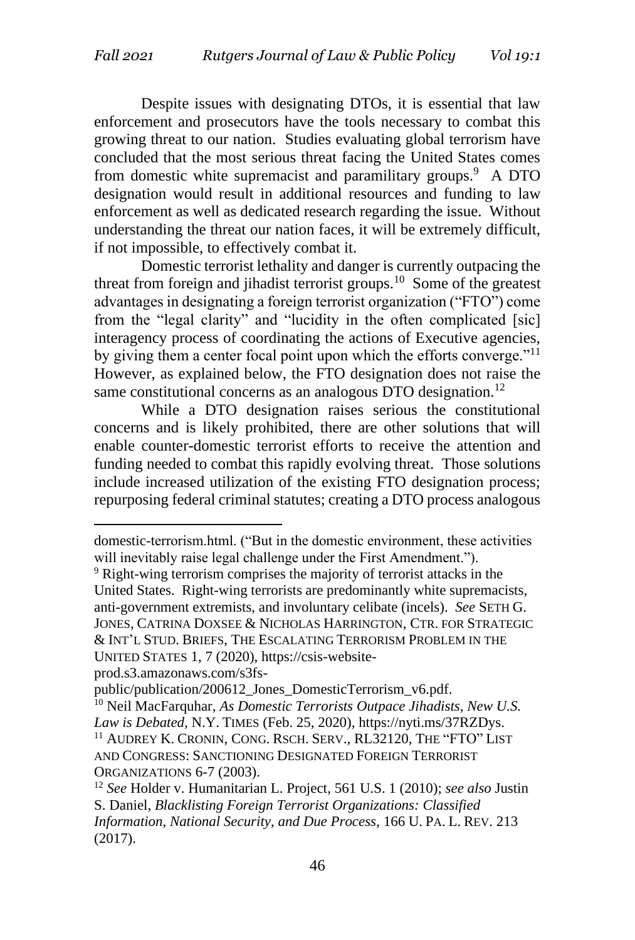Despite issues with designating DTOs, it is essential that law enforcement and prosecutors have the tools necessary to combat this growing threat to our nation. Studies evaluating global terrorism have concluded that the most serious threat facing the United States comes from domestic white supremacist and paramilitary groups.<sup>9</sup> A DTO designation would result in additional resources and funding to law enforcement as well as dedicated research regarding the issue. Without understanding the threat our nation faces, it will be extremely difficult, if not impossible, to effectively combat it.

Domestic terrorist lethality and danger is currently outpacing the threat from foreign and jihadist terrorist groups.<sup>10</sup> Some of the greatest advantages in designating a foreign terrorist organization ("FTO") come from the "legal clarity" and "lucidity in the often complicated [sic] interagency process of coordinating the actions of Executive agencies, by giving them a center focal point upon which the efforts converge."<sup>11</sup> However, as explained below, the FTO designation does not raise the same constitutional concerns as an analogous DTO designation.<sup>12</sup>

While a DTO designation raises serious the constitutional concerns and is likely prohibited, there are other solutions that will enable counter-domestic terrorist efforts to receive the attention and funding needed to combat this rapidly evolving threat. Those solutions include increased utilization of the existing FTO designation process; repurposing federal criminal statutes; creating a DTO process analogous

prod.s3.amazonaws.com/s3fs-

domestic-terrorism.html. ("But in the domestic environment, these activities will inevitably raise legal challenge under the First Amendment.").

<sup>&</sup>lt;sup>9</sup> Right-wing terrorism comprises the majority of terrorist attacks in the United States. Right-wing terrorists are predominantly white supremacists, anti-government extremists, and involuntary celibate (incels). *See* SETH G. JONES, CATRINA DOXSEE & NICHOLAS HARRINGTON, CTR. FOR STRATEGIC & INT'L STUD. BRIEFS, THE ESCALATING TERRORISM PROBLEM IN THE UNITED STATES 1, 7 (2020), https://csis-website-

public/publication/200612\_Jones\_DomesticTerrorism\_v6.pdf.

<sup>10</sup> Neil MacFarquhar, *As Domestic Terrorists Outpace Jihadists, New U.S. Law is Debated*, N.Y. TIMES (Feb. 25, 2020), https://nyti.ms/37RZDys. <sup>11</sup> AUDREY K. CRONIN, CONG. RSCH. SERV., RL32120, THE "FTO" LIST AND CONGRESS: SANCTIONING DESIGNATED FOREIGN TERRORIST ORGANIZATIONS 6-7 (2003).

<sup>12</sup> *See* Holder v. Humanitarian L. Project, 561 U.S. 1 (2010); *see also* Justin S. Daniel, *Blacklisting Foreign Terrorist Organizations: Classified Information, National Security, and Due Process*, 166 U. PA. L. REV. 213 (2017).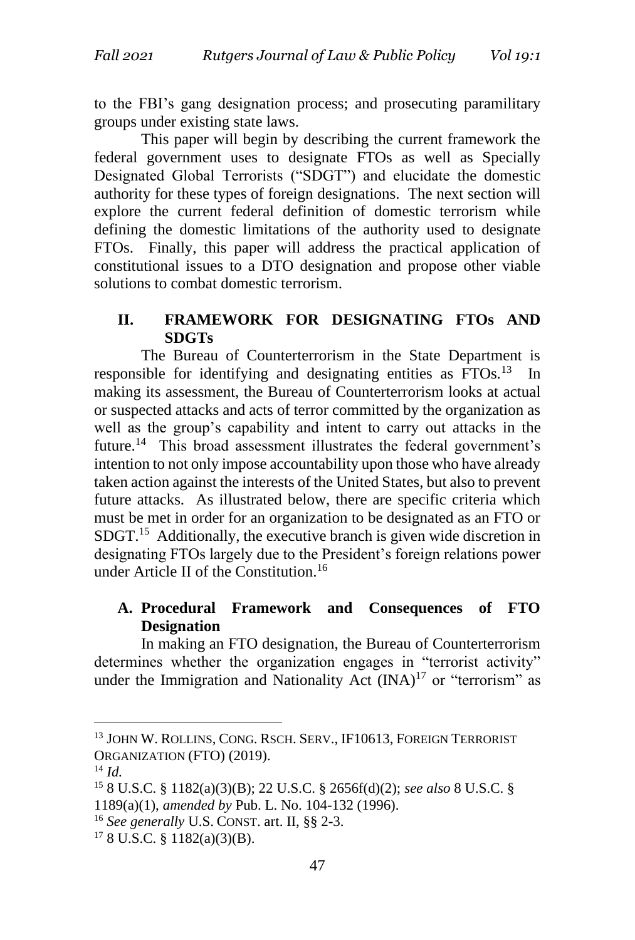to the FBI's gang designation process; and prosecuting paramilitary groups under existing state laws.

This paper will begin by describing the current framework the federal government uses to designate FTOs as well as Specially Designated Global Terrorists ("SDGT") and elucidate the domestic authority for these types of foreign designations. The next section will explore the current federal definition of domestic terrorism while defining the domestic limitations of the authority used to designate FTOs. Finally, this paper will address the practical application of constitutional issues to a DTO designation and propose other viable solutions to combat domestic terrorism.

# **II. FRAMEWORK FOR DESIGNATING FTOs AND SDGTs**

The Bureau of Counterterrorism in the State Department is responsible for identifying and designating entities as FTOs.<sup>13</sup> In making its assessment, the Bureau of Counterterrorism looks at actual or suspected attacks and acts of terror committed by the organization as well as the group's capability and intent to carry out attacks in the future.<sup>14</sup> This broad assessment illustrates the federal government's intention to not only impose accountability upon those who have already taken action against the interests of the United States, but also to prevent future attacks. As illustrated below, there are specific criteria which must be met in order for an organization to be designated as an FTO or SDGT.<sup>15</sup> Additionally, the executive branch is given wide discretion in designating FTOs largely due to the President's foreign relations power under Article II of the Constitution.<sup>16</sup>

# **A. Procedural Framework and Consequences of FTO Designation**

In making an FTO designation, the Bureau of Counterterrorism determines whether the organization engages in "terrorist activity" under the Immigration and Nationality Act  $(INA)^{17}$  or "terrorism" as

<sup>&</sup>lt;sup>13</sup> JOHN W. ROLLINS, CONG. RSCH. SERV., IF10613, FOREIGN TERRORIST ORGANIZATION (FTO) (2019).

<sup>14</sup> *Id.*

<sup>15</sup> 8 U.S.C. § 1182(a)(3)(B); 22 U.S.C. § 2656f(d)(2); *see also* 8 U.S.C. § 1189(a)(1), *amended by* Pub. L. No. 104-132 (1996).

<sup>16</sup> *See generally* U.S. CONST. art. II, §§ 2-3.

 $178$  U.S.C. § 1182(a)(3)(B).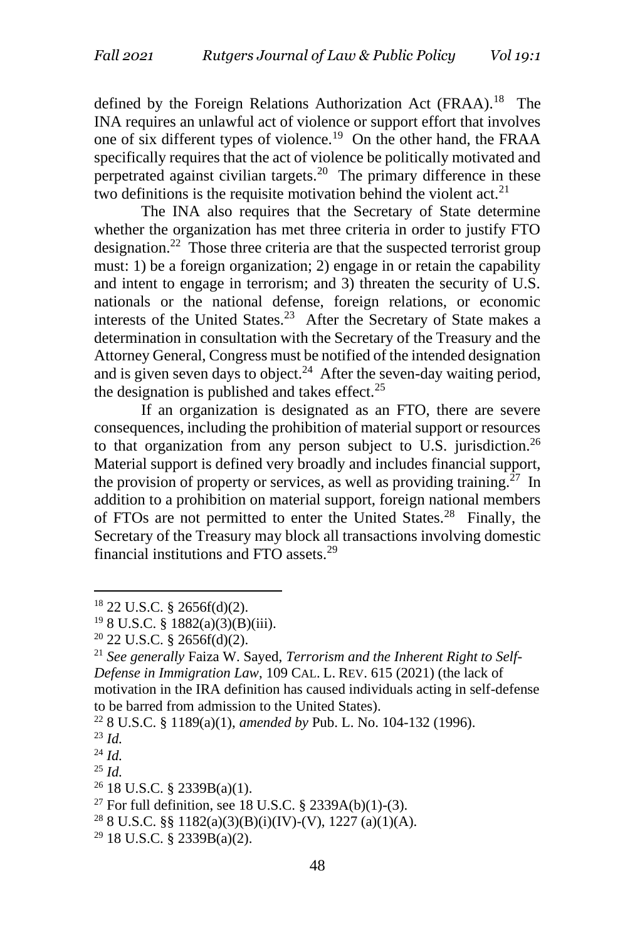defined by the Foreign Relations Authorization Act (FRAA).<sup>18</sup> The INA requires an unlawful act of violence or support effort that involves one of six different types of violence.<sup>19</sup> On the other hand, the FRAA specifically requires that the act of violence be politically motivated and perpetrated against civilian targets.<sup>20</sup> The primary difference in these two definitions is the requisite motivation behind the violent  $act.^{21}$ 

The INA also requires that the Secretary of State determine whether the organization has met three criteria in order to justify FTO designation.<sup>22</sup> Those three criteria are that the suspected terrorist group must: 1) be a foreign organization; 2) engage in or retain the capability and intent to engage in terrorism; and 3) threaten the security of U.S. nationals or the national defense, foreign relations, or economic interests of the United States.<sup>23</sup> After the Secretary of State makes a determination in consultation with the Secretary of the Treasury and the Attorney General, Congress must be notified of the intended designation and is given seven days to object.<sup>24</sup> After the seven-day waiting period, the designation is published and takes effect. $25$ 

If an organization is designated as an FTO, there are severe consequences, including the prohibition of material support or resources to that organization from any person subject to U.S. jurisdiction.<sup>26</sup> Material support is defined very broadly and includes financial support, the provision of property or services, as well as providing training.<sup>27</sup> In addition to a prohibition on material support, foreign national members of FTOs are not permitted to enter the United States.<sup>28</sup> Finally, the Secretary of the Treasury may block all transactions involving domestic financial institutions and FTO assets.<sup>29</sup>

<sup>18</sup> 22 U.S.C. § 2656f(d)(2).

<sup>19</sup> 8 U.S.C. § 1882(a)(3)(B)(iii).

<sup>20</sup> 22 U.S.C. § 2656f(d)(2).

<sup>21</sup> *See generally* Faiza W. Sayed, *Terrorism and the Inherent Right to Self-Defense in Immigration Law*, 109 CAL. L. REV. 615 (2021) (the lack of motivation in the IRA definition has caused individuals acting in self-defense to be barred from admission to the United States).

<sup>22</sup> 8 U.S.C. § 1189(a)(1), *amended by* Pub. L. No. 104-132 (1996).

<sup>23</sup> *Id.*

<sup>24</sup> *Id.*

<sup>25</sup> *Id.*

 $26$  18 U.S.C. § 2339B(a)(1).

<sup>&</sup>lt;sup>27</sup> For full definition, see 18 U.S.C. § 2339A(b)(1)-(3).

<sup>&</sup>lt;sup>28</sup> 8 U.S.C. §§ 1182(a)(3)(B)(i)(IV)-(V), 1227 (a)(1)(A).

 $29$  18 U.S.C. § 2339B(a)(2).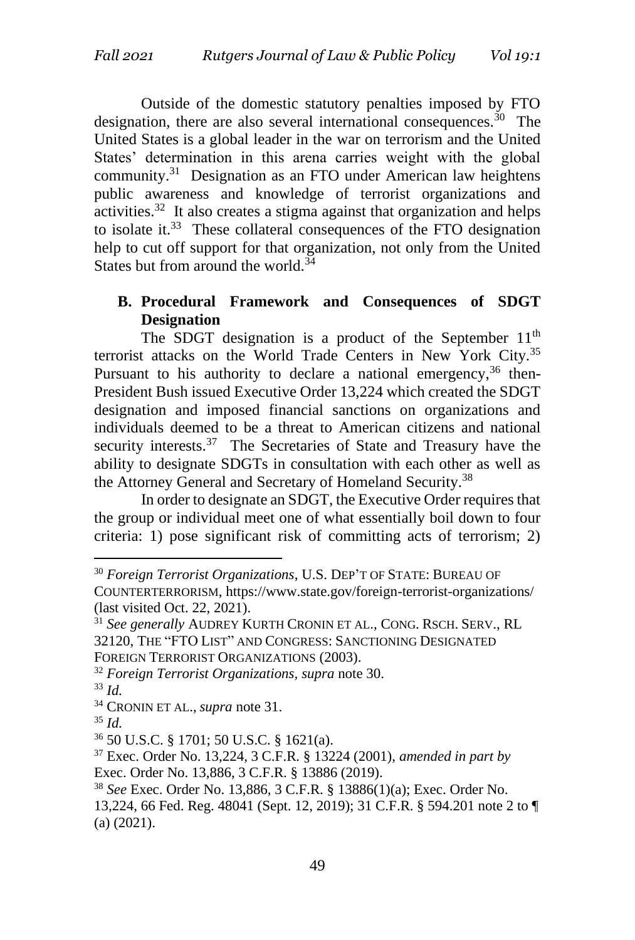Outside of the domestic statutory penalties imposed by FTO designation, there are also several international consequences.<sup>30</sup> The United States is a global leader in the war on terrorism and the United States' determination in this arena carries weight with the global community.<sup>31</sup> Designation as an FTO under American law heightens public awareness and knowledge of terrorist organizations and activities.<sup>32</sup> It also creates a stigma against that organization and helps to isolate it. $33$  These collateral consequences of the FTO designation help to cut off support for that organization, not only from the United States but from around the world.<sup>34</sup>

# **B. Procedural Framework and Consequences of SDGT Designation**

The SDGT designation is a product of the September  $11<sup>th</sup>$ terrorist attacks on the World Trade Centers in New York City.<sup>35</sup> Pursuant to his authority to declare a national emergency,  $36$  then-President Bush issued Executive Order 13,224 which created the SDGT designation and imposed financial sanctions on organizations and individuals deemed to be a threat to American citizens and national security interests.<sup>37</sup> The Secretaries of State and Treasury have the ability to designate SDGTs in consultation with each other as well as the Attorney General and Secretary of Homeland Security.<sup>38</sup>

In order to designate an SDGT, the Executive Order requires that the group or individual meet one of what essentially boil down to four criteria: 1) pose significant risk of committing acts of terrorism; 2)

<sup>30</sup> *Foreign Terrorist Organizations*, U.S. DEP'T OF STATE: BUREAU OF COUNTERTERRORISM, https://www.state.gov/foreign-terrorist-organizations/ (last visited Oct. 22, 2021).

<sup>31</sup> *See generally* AUDREY KURTH CRONIN ET AL., CONG. RSCH. SERV., RL 32120, THE "FTO LIST" AND CONGRESS: SANCTIONING DESIGNATED FOREIGN TERRORIST ORGANIZATIONS (2003).

<sup>32</sup> *Foreign Terrorist Organizations, supra* note 30.

<sup>33</sup> *Id.*

<sup>34</sup> CRONIN ET AL., *supra* note 31.

 $35$  *Id.* 

<sup>36</sup> 50 U.S.C. § 1701; 50 U.S.C. § 1621(a).

<sup>37</sup> Exec. Order No. 13,224, 3 C.F.R. § 13224 (2001), *amended in part by*  Exec. Order No. 13,886, 3 C.F.R. § 13886 (2019).

<sup>38</sup> *See* Exec. Order No. 13,886, 3 C.F.R. § 13886(1)(a); Exec. Order No.

<sup>13,224, 66</sup> Fed. Reg. 48041 (Sept. 12, 2019); 31 C.F.R. § 594.201 note 2 to ¶ (a) (2021).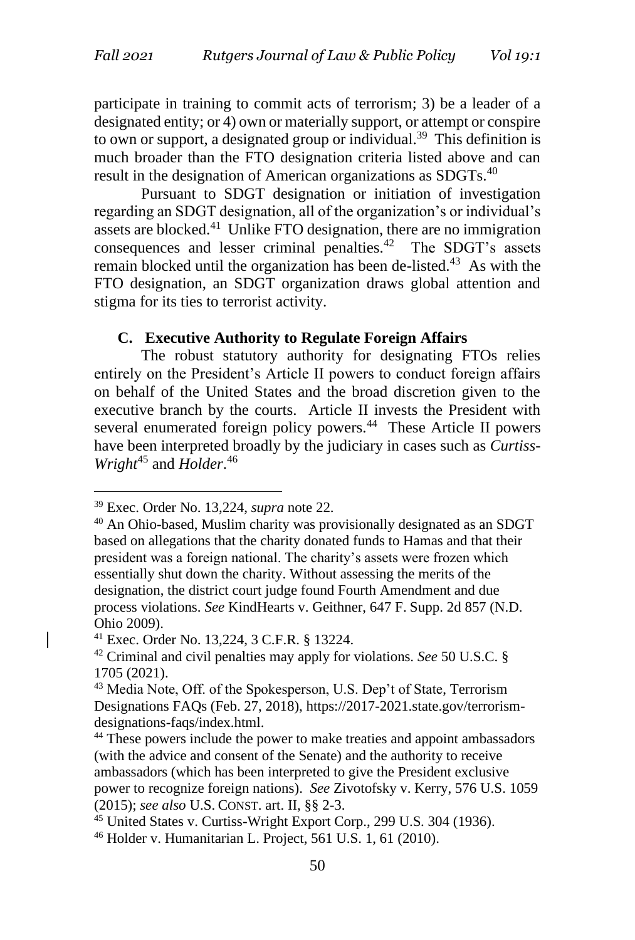participate in training to commit acts of terrorism; 3) be a leader of a designated entity; or 4) own or materially support, or attempt or conspire to own or support, a designated group or individual.<sup>39</sup> This definition is much broader than the FTO designation criteria listed above and can result in the designation of American organizations as SDGTs.<sup>40</sup>

Pursuant to SDGT designation or initiation of investigation regarding an SDGT designation, all of the organization's or individual's assets are blocked.<sup>41</sup> Unlike FTO designation, there are no immigration consequences and lesser criminal penalties.<sup>42</sup> The SDGT's assets remain blocked until the organization has been de-listed.<sup>43</sup> As with the FTO designation, an SDGT organization draws global attention and stigma for its ties to terrorist activity.

#### **C. Executive Authority to Regulate Foreign Affairs**

The robust statutory authority for designating FTOs relies entirely on the President's Article II powers to conduct foreign affairs on behalf of the United States and the broad discretion given to the executive branch by the courts. Article II invests the President with several enumerated foreign policy powers.<sup>44</sup> These Article II powers have been interpreted broadly by the judiciary in cases such as *Curtiss-Wright*<sup>45</sup> and *Holder*. 46

<sup>39</sup> Exec. Order No. 13,224, *supra* note 22.

<sup>40</sup> An Ohio-based, Muslim charity was provisionally designated as an SDGT based on allegations that the charity donated funds to Hamas and that their president was a foreign national. The charity's assets were frozen which essentially shut down the charity. Without assessing the merits of the designation, the district court judge found Fourth Amendment and due process violations. *See* KindHearts v. Geithner, 647 F. Supp. 2d 857 (N.D. Ohio 2009).

<sup>41</sup> Exec. Order No. 13,224, 3 C.F.R. § 13224.

<sup>42</sup> Criminal and civil penalties may apply for violations. *See* 50 U.S.C. § 1705 (2021).

<sup>&</sup>lt;sup>43</sup> Media Note, Off. of the Spokesperson, U.S. Dep't of State, Terrorism Designations FAQs (Feb. 27, 2018), https://2017-2021.state.gov/terrorismdesignations-faqs/index.html.

<sup>&</sup>lt;sup>44</sup> These powers include the power to make treaties and appoint ambassadors (with the advice and consent of the Senate) and the authority to receive ambassadors (which has been interpreted to give the President exclusive power to recognize foreign nations). *See* Zivotofsky v. Kerry, 576 U.S. 1059 (2015); *see also* U.S. CONST. art. II, §§ 2-3.

<sup>45</sup> United States v. Curtiss-Wright Export Corp., 299 U.S. 304 (1936). <sup>46</sup> Holder v. Humanitarian L. Project, 561 U.S. 1, 61 (2010).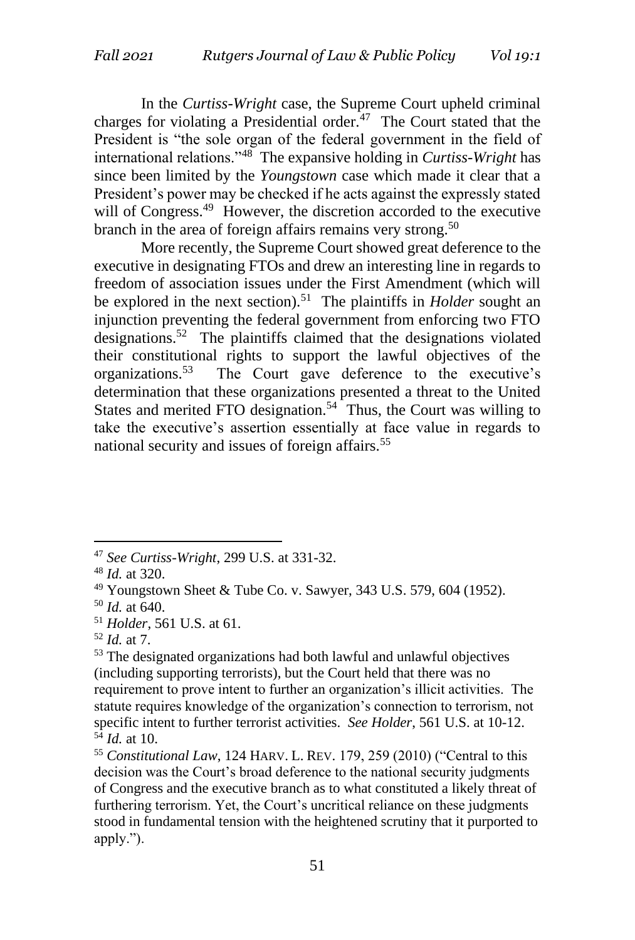In the *Curtiss-Wright* case, the Supreme Court upheld criminal charges for violating a Presidential order.<sup>47</sup> The Court stated that the President is "the sole organ of the federal government in the field of international relations."<sup>48</sup> The expansive holding in *Curtiss-Wright* has since been limited by the *Youngstown* case which made it clear that a President's power may be checked if he acts against the expressly stated will of Congress.<sup>49</sup> However, the discretion accorded to the executive branch in the area of foreign affairs remains very strong.<sup>50</sup>

More recently, the Supreme Court showed great deference to the executive in designating FTOs and drew an interesting line in regards to freedom of association issues under the First Amendment (which will be explored in the next section).<sup>51</sup> The plaintiffs in *Holder* sought an injunction preventing the federal government from enforcing two FTO designations.<sup>52</sup> The plaintiffs claimed that the designations violated their constitutional rights to support the lawful objectives of the organizations.<sup>53</sup> The Court gave deference to the executive's determination that these organizations presented a threat to the United States and merited FTO designation.<sup>54</sup> Thus, the Court was willing to take the executive's assertion essentially at face value in regards to national security and issues of foreign affairs.<sup>55</sup>

<sup>47</sup> *See Curtiss-Wright*, 299 U.S. at 331-32.

<sup>48</sup> *Id.* at 320.

<sup>49</sup> Youngstown Sheet & Tube Co. v. Sawyer, 343 U.S. 579, 604 (1952).

<sup>50</sup> *Id.* at 640.

<sup>51</sup> *Holder*, 561 U.S. at 61.

<sup>52</sup> *Id.* at 7.

<sup>&</sup>lt;sup>53</sup> The designated organizations had both lawful and unlawful objectives (including supporting terrorists), but the Court held that there was no requirement to prove intent to further an organization's illicit activities. The statute requires knowledge of the organization's connection to terrorism, not specific intent to further terrorist activities. *See Holder*, 561 U.S. at 10-12.  $5^4$  *Id.* at 10.

<sup>55</sup> *Constitutional Law*, 124 HARV. L. REV. 179, 259 (2010) ("Central to this decision was the Court's broad deference to the national security judgments of Congress and the executive branch as to what constituted a likely threat of furthering terrorism. Yet, the Court's uncritical reliance on these judgments stood in fundamental tension with the heightened scrutiny that it purported to apply.").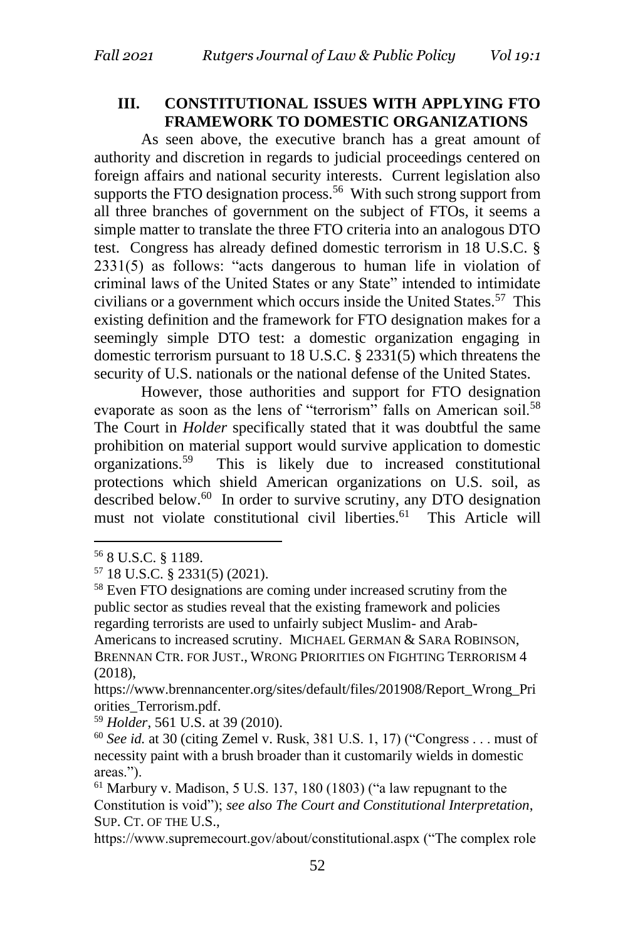# **III. CONSTITUTIONAL ISSUES WITH APPLYING FTO FRAMEWORK TO DOMESTIC ORGANIZATIONS**

As seen above, the executive branch has a great amount of authority and discretion in regards to judicial proceedings centered on foreign affairs and national security interests. Current legislation also supports the FTO designation process.<sup>56</sup> With such strong support from all three branches of government on the subject of FTOs, it seems a simple matter to translate the three FTO criteria into an analogous DTO test. Congress has already defined domestic terrorism in 18 U.S.C. § 2331(5) as follows: "acts dangerous to human life in violation of criminal laws of the United States or any State" intended to intimidate civilians or a government which occurs inside the United States.<sup>57</sup> This existing definition and the framework for FTO designation makes for a seemingly simple DTO test: a domestic organization engaging in domestic terrorism pursuant to 18 U.S.C. § 2331(5) which threatens the security of U.S. nationals or the national defense of the United States.

However, those authorities and support for FTO designation evaporate as soon as the lens of "terrorism" falls on American soil.<sup>58</sup> The Court in *Holder* specifically stated that it was doubtful the same prohibition on material support would survive application to domestic organizations.<sup>59</sup> This is likely due to increased constitutional protections which shield American organizations on U.S. soil, as described below.<sup>60</sup> In order to survive scrutiny, any DTO designation must not violate constitutional civil liberties.<sup>61</sup> This Article will

<sup>56</sup> 8 U.S.C. § 1189.

<sup>57</sup> 18 U.S.C. § 2331(5) (2021).

<sup>58</sup> Even FTO designations are coming under increased scrutiny from the public sector as studies reveal that the existing framework and policies regarding terrorists are used to unfairly subject Muslim- and Arab-Americans to increased scrutiny. MICHAEL GERMAN & SARA ROBINSON, BRENNAN CTR. FOR JUST., WRONG PRIORITIES ON FIGHTING TERRORISM 4 (2018),

https://www.brennancenter.org/sites/default/files/201908/Report\_Wrong\_Pri orities\_Terrorism.pdf.

<sup>59</sup> *Holder*, 561 U.S. at 39 (2010).

<sup>60</sup> *See id.* at 30 (citing Zemel v. Rusk, 381 U.S. 1, 17) ("Congress . . . must of necessity paint with a brush broader than it customarily wields in domestic areas.").

 $61$  Marbury v. Madison, 5 U.S. 137, 180 (1803) ("a law repugnant to the Constitution is void"); *see also The Court and Constitutional Interpretation*, SUP. CT. OF THE U.S.,

https://www.supremecourt.gov/about/constitutional.aspx ("The complex role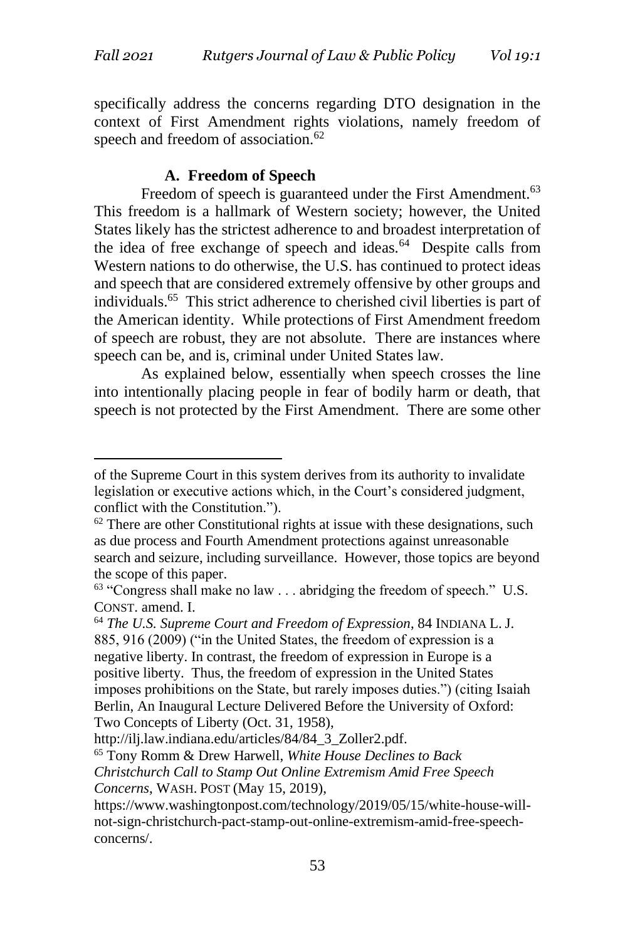specifically address the concerns regarding DTO designation in the context of First Amendment rights violations, namely freedom of speech and freedom of association.<sup>62</sup>

#### **A. Freedom of Speech**

Freedom of speech is guaranteed under the First Amendment.<sup>63</sup> This freedom is a hallmark of Western society; however, the United States likely has the strictest adherence to and broadest interpretation of the idea of free exchange of speech and ideas.<sup>64</sup> Despite calls from Western nations to do otherwise, the U.S. has continued to protect ideas and speech that are considered extremely offensive by other groups and individuals.<sup>65</sup> This strict adherence to cherished civil liberties is part of the American identity. While protections of First Amendment freedom of speech are robust, they are not absolute. There are instances where speech can be, and is, criminal under United States law.

As explained below, essentially when speech crosses the line into intentionally placing people in fear of bodily harm or death, that speech is not protected by the First Amendment. There are some other

of the Supreme Court in this system derives from its authority to invalidate legislation or executive actions which, in the Court's considered judgment, conflict with the Constitution.").

 $62$  There are other Constitutional rights at issue with these designations, such as due process and Fourth Amendment protections against unreasonable search and seizure, including surveillance. However, those topics are beyond the scope of this paper.

 $63$  "Congress shall make no law  $\dots$  abridging the freedom of speech." U.S. CONST. amend. I.

<sup>64</sup> *The U.S. Supreme Court and Freedom of Expression*, 84 INDIANA L. J. 885, 916 (2009) ("in the United States, the freedom of expression is a negative liberty. In contrast, the freedom of expression in Europe is a positive liberty. Thus, the freedom of expression in the United States imposes prohibitions on the State, but rarely imposes duties.") (citing Isaiah Berlin, An Inaugural Lecture Delivered Before the University of Oxford: Two Concepts of Liberty (Oct. 31, 1958),

http://ilj.law.indiana.edu/articles/84/84\_3\_Zoller2.pdf.

<sup>65</sup> Tony Romm & Drew Harwell, *White House Declines to Back Christchurch Call to Stamp Out Online Extremism Amid Free Speech Concerns*, WASH. POST (May 15, 2019),

https://www.washingtonpost.com/technology/2019/05/15/white-house-willnot-sign-christchurch-pact-stamp-out-online-extremism-amid-free-speechconcerns/.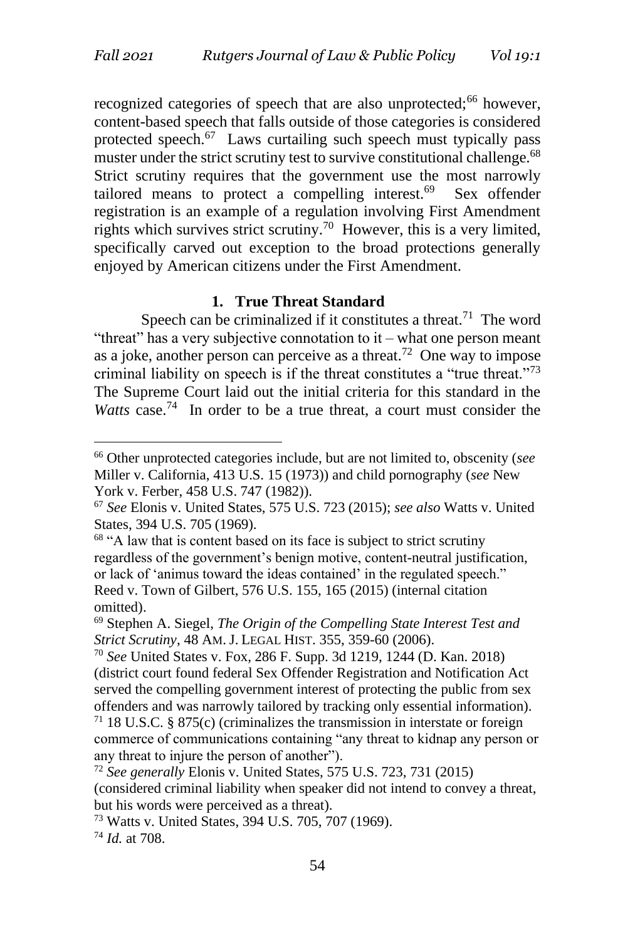recognized categories of speech that are also unprotected;<sup>66</sup> however, content-based speech that falls outside of those categories is considered protected speech.<sup>67</sup> Laws curtailing such speech must typically pass muster under the strict scrutiny test to survive constitutional challenge.<sup>68</sup> Strict scrutiny requires that the government use the most narrowly tailored means to protect a compelling interest.<sup>69</sup> Sex offender registration is an example of a regulation involving First Amendment rights which survives strict scrutiny.<sup>70</sup> However, this is a very limited, specifically carved out exception to the broad protections generally enjoyed by American citizens under the First Amendment.

# **1. True Threat Standard**

Speech can be criminalized if it constitutes a threat.<sup>71</sup> The word "threat" has a very subjective connotation to it – what one person meant as a joke, another person can perceive as a threat.<sup>72</sup> One way to impose criminal liability on speech is if the threat constitutes a "true threat."<sup>73</sup> The Supreme Court laid out the initial criteria for this standard in the Watts case.<sup>74</sup> In order to be a true threat, a court must consider the

<sup>74</sup> *Id.* at 708.

<sup>66</sup> Other unprotected categories include, but are not limited to, obscenity (*see* Miller v. California, 413 U.S. 15 (1973)) and child pornography (*see* New York v. Ferber, 458 U.S. 747 (1982)).

<sup>67</sup> *See* Elonis v. United States, 575 U.S. 723 (2015); *see also* Watts v. United States, 394 U.S. 705 (1969).

<sup>&</sup>lt;sup>68</sup> "A law that is content based on its face is subject to strict scrutiny regardless of the government's benign motive, content-neutral justification, or lack of 'animus toward the ideas contained' in the regulated speech." Reed v. Town of Gilbert, 576 U.S. 155, 165 (2015) (internal citation omitted).

<sup>69</sup> Stephen A. Siegel, *The Origin of the Compelling State Interest Test and Strict Scrutiny*, 48 AM. J. LEGAL HIST. 355, 359-60 (2006).

<sup>70</sup> *See* United States v. Fox, 286 F. Supp. 3d 1219, 1244 (D. Kan. 2018) (district court found federal Sex Offender Registration and Notification Act served the compelling government interest of protecting the public from sex offenders and was narrowly tailored by tracking only essential information). <sup>71</sup> 18 U.S.C. § 875(c) (criminalizes the transmission in interstate or foreign commerce of communications containing "any threat to kidnap any person or any threat to injure the person of another").

<sup>72</sup> *See generally* Elonis v. United States, 575 U.S. 723, 731 (2015)

<sup>(</sup>considered criminal liability when speaker did not intend to convey a threat, but his words were perceived as a threat).

<sup>73</sup> Watts v. United States, 394 U.S. 705, 707 (1969).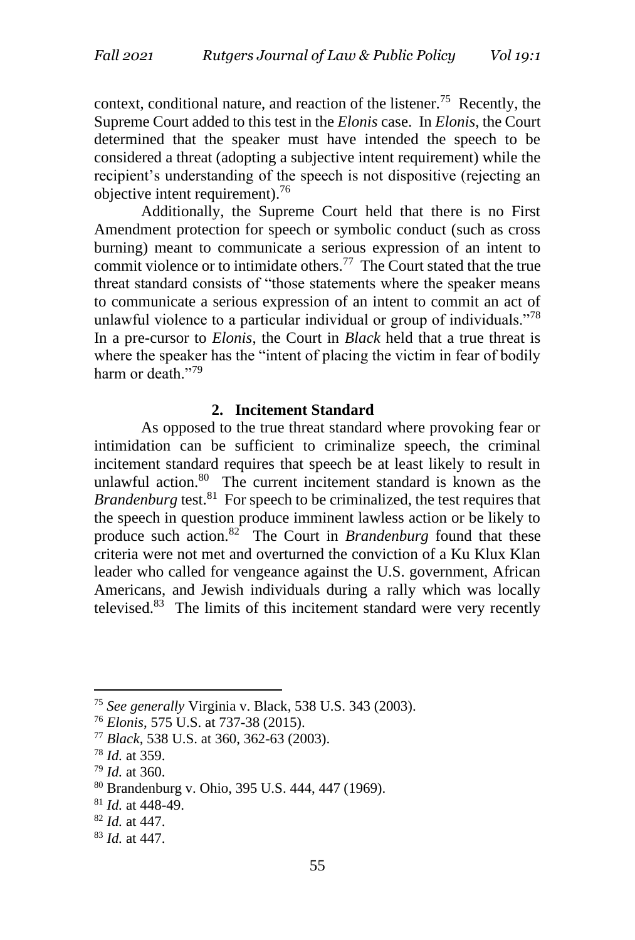context, conditional nature, and reaction of the listener.<sup>75</sup> Recently, the Supreme Court added to this test in the *Elonis* case. In *Elonis*, the Court determined that the speaker must have intended the speech to be considered a threat (adopting a subjective intent requirement) while the recipient's understanding of the speech is not dispositive (rejecting an objective intent requirement).<sup>76</sup>

Additionally, the Supreme Court held that there is no First Amendment protection for speech or symbolic conduct (such as cross burning) meant to communicate a serious expression of an intent to commit violence or to intimidate others.<sup>77</sup> The Court stated that the true threat standard consists of "those statements where the speaker means to communicate a serious expression of an intent to commit an act of unlawful violence to a particular individual or group of individuals."<sup>78</sup> In a pre-cursor to *Elonis*, the Court in *Black* held that a true threat is where the speaker has the "intent of placing the victim in fear of bodily harm or death."<sup>79</sup>

#### **2. Incitement Standard**

As opposed to the true threat standard where provoking fear or intimidation can be sufficient to criminalize speech, the criminal incitement standard requires that speech be at least likely to result in unlawful action.<sup>80</sup> The current incitement standard is known as the *Brandenburg* test.<sup>81</sup> For speech to be criminalized, the test requires that the speech in question produce imminent lawless action or be likely to produce such action.<sup>82</sup> The Court in *Brandenburg* found that these criteria were not met and overturned the conviction of a Ku Klux Klan leader who called for vengeance against the U.S. government, African Americans, and Jewish individuals during a rally which was locally televised.<sup>83</sup> The limits of this incitement standard were very recently

<sup>75</sup> *See generally* Virginia v. Black, 538 U.S. 343 (2003).

<sup>76</sup> *Elonis*, 575 U.S. at 737-38 (2015).

<sup>77</sup> *Black*, 538 U.S. at 360, 362-63 (2003).

<sup>78</sup> *Id.* at 359.

<sup>79</sup> *Id.* at 360.

<sup>80</sup> Brandenburg v. Ohio, 395 U.S. 444, 447 (1969).

<sup>81</sup> *Id.* at 448-49.

<sup>82</sup> *Id.* at 447.

<sup>83</sup> *Id.* at 447.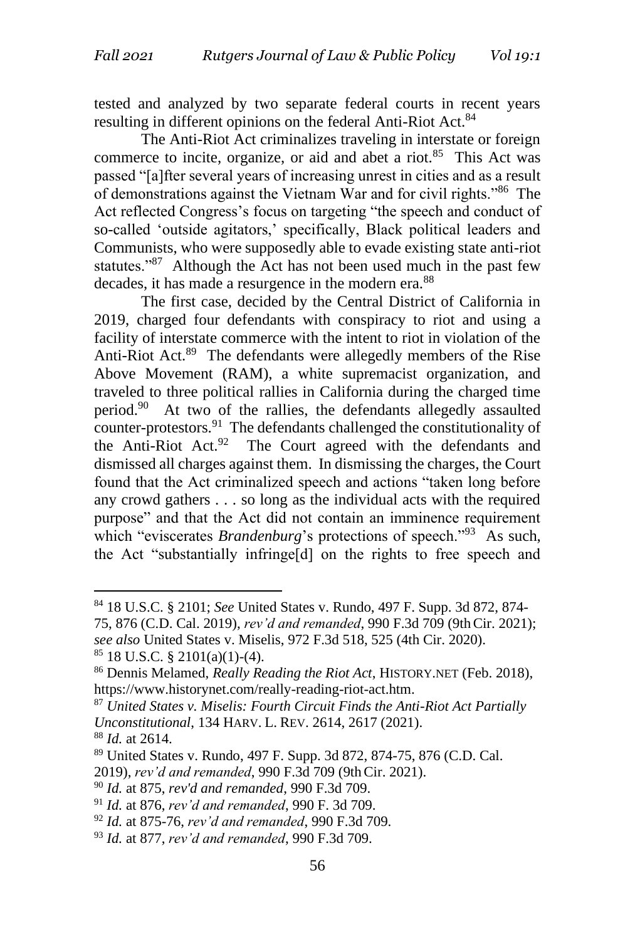tested and analyzed by two separate federal courts in recent years resulting in different opinions on the federal Anti-Riot Act.<sup>84</sup>

The Anti-Riot Act criminalizes traveling in interstate or foreign commerce to incite, organize, or aid and abet a riot.<sup>85</sup> This Act was passed "[a]fter several years of increasing unrest in cities and as a result of demonstrations against the Vietnam War and for civil rights."<sup>86</sup> The Act reflected Congress's focus on targeting "the speech and conduct of so-called 'outside agitators,' specifically, Black political leaders and Communists, who were supposedly able to evade existing state anti-riot statutes."<sup>87</sup> Although the Act has not been used much in the past few decades, it has made a resurgence in the modern era.<sup>88</sup>

The first case, decided by the Central District of California in 2019, charged four defendants with conspiracy to riot and using a facility of interstate commerce with the intent to riot in violation of the Anti-Riot Act.<sup>89</sup> The defendants were allegedly members of the Rise Above Movement (RAM), a white supremacist organization, and traveled to three political rallies in California during the charged time period.<sup>90</sup> At two of the rallies, the defendants allegedly assaulted counter-protestors.<sup>91</sup> The defendants challenged the constitutionality of the Anti-Riot Act.<sup>92</sup> The Court agreed with the defendants and dismissed all charges against them. In dismissing the charges, the Court found that the Act criminalized speech and actions "taken long before any crowd gathers . . . so long as the individual acts with the required purpose" and that the Act did not contain an imminence requirement which "eviscerates *Brandenburg*'s protections of speech."<sup>93</sup> As such, the Act "substantially infringe[d] on the rights to free speech and

<sup>84</sup> 18 U.S.C. § 2101; *See* United States v. Rundo, 497 F. Supp. 3d 872, 874- 75, 876 (C.D. Cal. 2019), *rev'd and remanded*, 990 F.3d 709 (9thCir. 2021);

*see also* United States v. Miselis, 972 F.3d 518, 525 (4th Cir. 2020).  $85$  18 U.S.C. § 2101(a)(1)-(4).

<sup>86</sup> Dennis Melamed, *Really Reading the Riot Act*, HISTORY.NET (Feb. 2018), https://www.historynet.com/really-reading-riot-act.htm.

<sup>87</sup> *United States v. Miselis: Fourth Circuit Finds the Anti-Riot Act Partially Unconstitutional*, 134 HARV. L. REV. 2614, 2617 (2021).

<sup>88</sup> *Id.* at 2614.

<sup>89</sup> United States v. Rundo, 497 F. Supp. 3d 872, 874-75, 876 (C.D. Cal.

<sup>2019),</sup> *rev'd and remanded*, 990 F.3d 709 (9thCir. 2021).

<sup>90</sup> *Id.* at 875, *rev'd and remanded*, 990 F.3d 709.

<sup>91</sup> *Id.* at 876, *rev'd and remanded*, 990 F. 3d 709.

<sup>92</sup> *Id.* at 875-76, *rev'd and remanded*, 990 F.3d 709.

<sup>93</sup> *Id.* at 877, *rev'd and remanded*, 990 F.3d 709.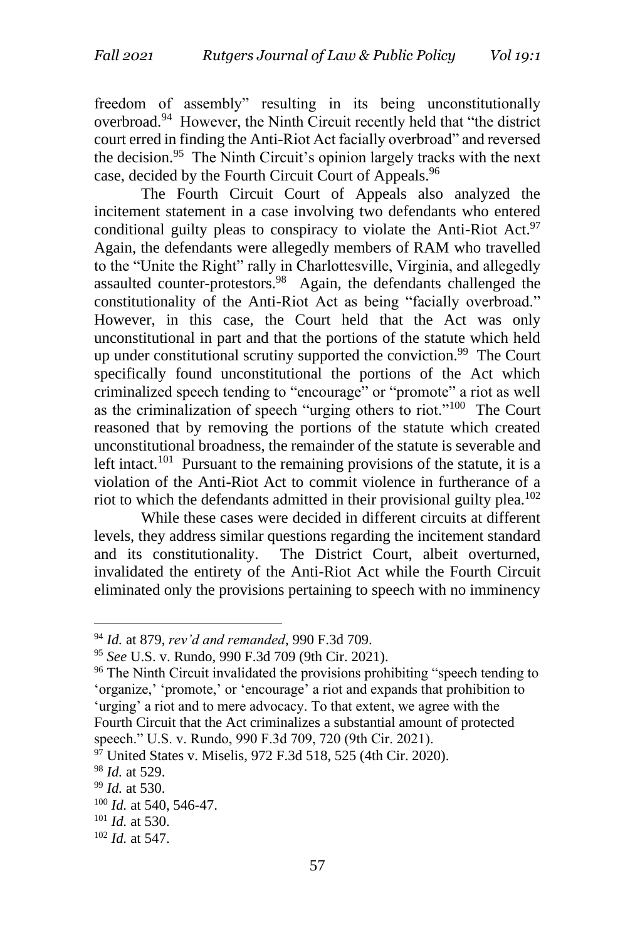freedom of assembly" resulting in its being unconstitutionally overbroad.<sup>94</sup> However, the Ninth Circuit recently held that "the district court erred in finding the Anti-Riot Act facially overbroad" and reversed the decision.<sup>95</sup> The Ninth Circuit's opinion largely tracks with the next case, decided by the Fourth Circuit Court of Appeals.<sup>96</sup>

The Fourth Circuit Court of Appeals also analyzed the incitement statement in a case involving two defendants who entered conditional guilty pleas to conspiracy to violate the Anti-Riot Act.<sup>97</sup> Again, the defendants were allegedly members of RAM who travelled to the "Unite the Right" rally in Charlottesville, Virginia, and allegedly assaulted counter-protestors.<sup>98</sup> Again, the defendants challenged the constitutionality of the Anti-Riot Act as being "facially overbroad." However, in this case, the Court held that the Act was only unconstitutional in part and that the portions of the statute which held up under constitutional scrutiny supported the conviction.<sup>99</sup> The Court specifically found unconstitutional the portions of the Act which criminalized speech tending to "encourage" or "promote" a riot as well as the criminalization of speech "urging others to riot."<sup>100</sup> The Court reasoned that by removing the portions of the statute which created unconstitutional broadness, the remainder of the statute is severable and left intact.<sup>101</sup> Pursuant to the remaining provisions of the statute, it is a violation of the Anti-Riot Act to commit violence in furtherance of a riot to which the defendants admitted in their provisional guilty plea.<sup>102</sup>

While these cases were decided in different circuits at different levels, they address similar questions regarding the incitement standard and its constitutionality. The District Court, albeit overturned, invalidated the entirety of the Anti-Riot Act while the Fourth Circuit eliminated only the provisions pertaining to speech with no imminency

<sup>94</sup> *Id.* at 879, *rev'd and remanded*, 990 F.3d 709.

<sup>95</sup> *See* U.S. v. Rundo, 990 F.3d 709 (9th Cir. 2021).

<sup>&</sup>lt;sup>96</sup> The Ninth Circuit invalidated the provisions prohibiting "speech tending to 'organize,' 'promote,' or 'encourage' a riot and expands that prohibition to 'urging' a riot and to mere advocacy. To that extent, we agree with the Fourth Circuit that the Act criminalizes a substantial amount of protected speech." U.S. v. Rundo, 990 F.3d 709, 720 (9th Cir. 2021).

 $97$  United States v. Miselis, 972 F.3d 518, 525 (4th Cir. 2020).

<sup>98</sup> *Id.* at 529.

<sup>99</sup> *Id.* at 530.

<sup>100</sup> *Id.* at 540, 546-47.

<sup>101</sup> *Id.* at 530.

<sup>102</sup> *Id.* at 547.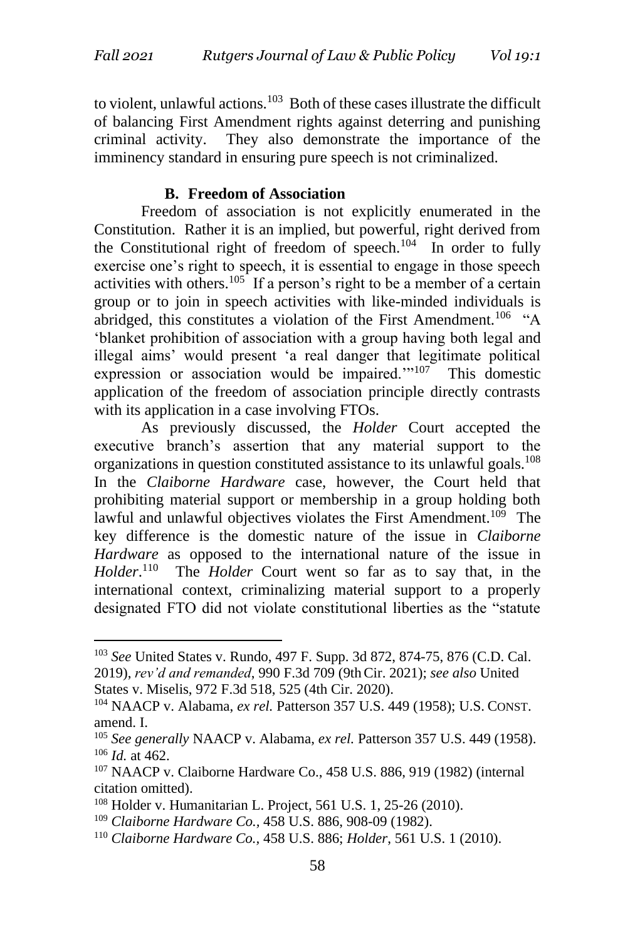to violent, unlawful actions.<sup>103</sup> Both of these cases illustrate the difficult of balancing First Amendment rights against deterring and punishing criminal activity. They also demonstrate the importance of the imminency standard in ensuring pure speech is not criminalized.

# **B. Freedom of Association**

Freedom of association is not explicitly enumerated in the Constitution. Rather it is an implied, but powerful, right derived from the Constitutional right of freedom of speech. $104$  In order to fully exercise one's right to speech, it is essential to engage in those speech activities with others.<sup>105</sup> If a person's right to be a member of a certain group or to join in speech activities with like-minded individuals is abridged, this constitutes a violation of the First Amendment.<sup>106</sup> "A 'blanket prohibition of association with a group having both legal and illegal aims' would present 'a real danger that legitimate political expression or association would be impaired."<sup>107</sup> This domestic application of the freedom of association principle directly contrasts with its application in a case involving FTOs.

As previously discussed, the *Holder* Court accepted the executive branch's assertion that any material support to the organizations in question constituted assistance to its unlawful goals.<sup>108</sup> In the *Claiborne Hardware* case, however, the Court held that prohibiting material support or membership in a group holding both lawful and unlawful objectives violates the First Amendment.<sup>109</sup> The key difference is the domestic nature of the issue in *Claiborne Hardware* as opposed to the international nature of the issue in *Holder*. 110 The *Holder* Court went so far as to say that, in the international context, criminalizing material support to a properly designated FTO did not violate constitutional liberties as the "statute

<sup>103</sup> *See* United States v. Rundo, 497 F. Supp. 3d 872, 874-75, 876 (C.D. Cal. 2019), *rev'd and remanded*, 990 F.3d 709 (9thCir. 2021); *see also* United States v. Miselis, 972 F.3d 518, 525 (4th Cir. 2020).

<sup>104</sup> NAACP v. Alabama, *ex rel.* Patterson 357 U.S. 449 (1958); U.S. CONST. amend. I.

<sup>105</sup> *See generally* NAACP v. Alabama, *ex rel.* Patterson 357 U.S. 449 (1958). <sup>106</sup> *Id.* at 462.

<sup>107</sup> NAACP v. Claiborne Hardware Co., 458 U.S. 886, 919 (1982) (internal citation omitted).

<sup>108</sup> Holder v. Humanitarian L. Project, 561 U.S. 1, 25-26 (2010).

<sup>109</sup> *Claiborne Hardware Co.,* 458 U.S. 886, 908-09 (1982).

<sup>110</sup> *Claiborne Hardware Co.,* 458 U.S. 886; *Holder*, 561 U.S. 1 (2010).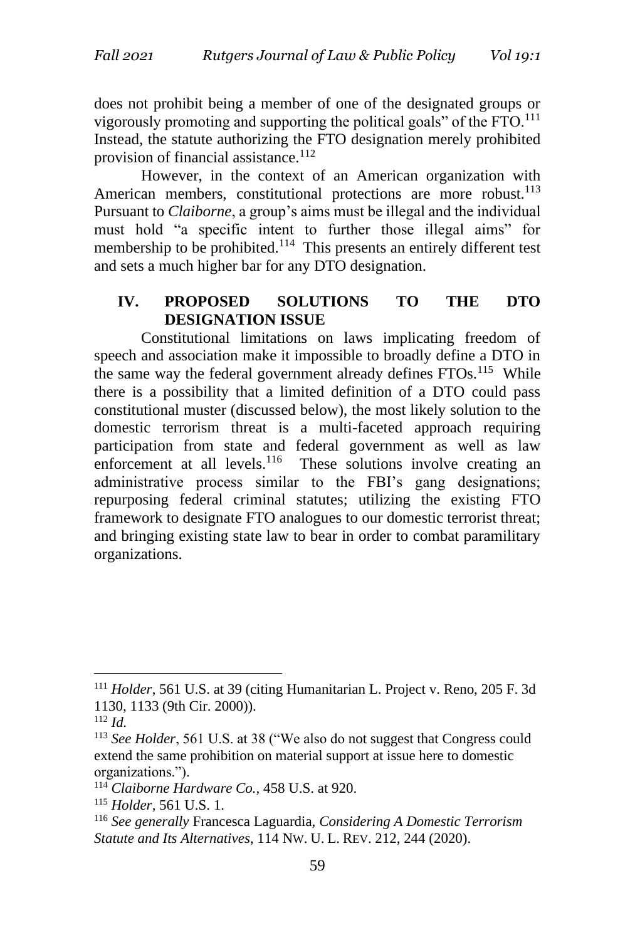does not prohibit being a member of one of the designated groups or vigorously promoting and supporting the political goals" of the  $\text{FTO}.^{111}$ Instead, the statute authorizing the FTO designation merely prohibited provision of financial assistance.<sup>112</sup>

However, in the context of an American organization with American members, constitutional protections are more robust.<sup>113</sup> Pursuant to *Claiborne*, a group's aims must be illegal and the individual must hold "a specific intent to further those illegal aims" for membership to be prohibited.<sup>114</sup> This presents an entirely different test and sets a much higher bar for any DTO designation.

# **IV. PROPOSED SOLUTIONS TO THE DTO DESIGNATION ISSUE**

Constitutional limitations on laws implicating freedom of speech and association make it impossible to broadly define a DTO in the same way the federal government already defines  $FTOs$ <sup>115</sup> While there is a possibility that a limited definition of a DTO could pass constitutional muster (discussed below), the most likely solution to the domestic terrorism threat is a multi-faceted approach requiring participation from state and federal government as well as law enforcement at all levels.<sup>116</sup> These solutions involve creating an administrative process similar to the FBI's gang designations; repurposing federal criminal statutes; utilizing the existing FTO framework to designate FTO analogues to our domestic terrorist threat; and bringing existing state law to bear in order to combat paramilitary organizations.

<sup>111</sup> *Holder*, 561 U.S. at 39 (citing Humanitarian L. Project v. Reno, 205 F. 3d 1130, 1133 (9th Cir. 2000)).

<sup>112</sup> *Id.*

<sup>113</sup> *See Holder*, 561 U.S. at 38 ("We also do not suggest that Congress could extend the same prohibition on material support at issue here to domestic organizations.").

<sup>114</sup> *Claiborne Hardware Co.,* 458 U.S. at 920.

<sup>115</sup> *Holder*, 561 U.S. 1.

<sup>116</sup> *See generally* Francesca Laguardia, *Considering A Domestic Terrorism Statute and Its Alternatives*, 114 NW. U. L. REV. 212, 244 (2020).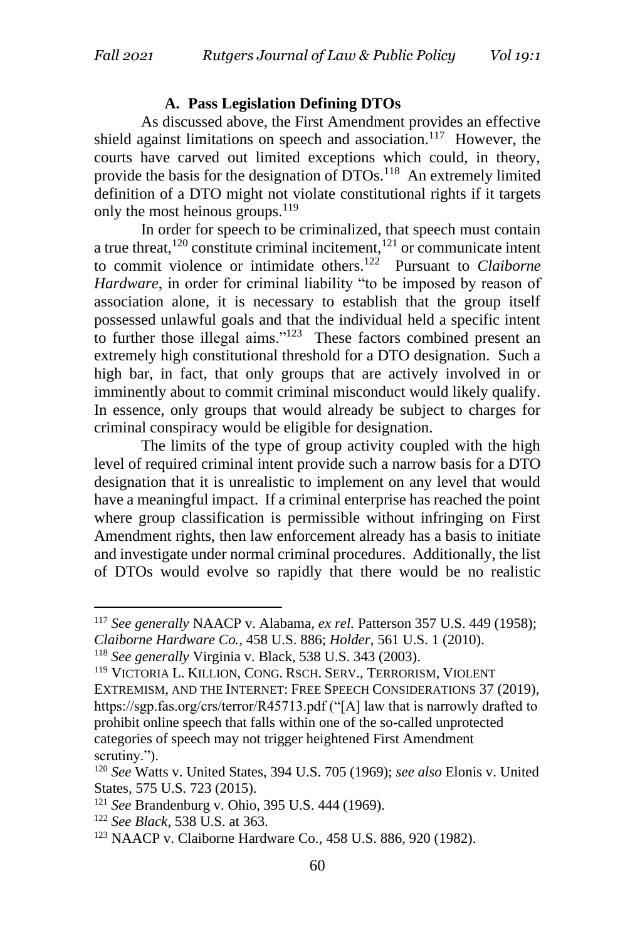#### **A. Pass Legislation Defining DTOs**

As discussed above, the First Amendment provides an effective shield against limitations on speech and association.<sup>117</sup> However, the courts have carved out limited exceptions which could, in theory, provide the basis for the designation of DTOs.<sup>118</sup> An extremely limited definition of a DTO might not violate constitutional rights if it targets only the most heinous groups.  $^{119}$ 

In order for speech to be criminalized, that speech must contain a true threat, $120$  constitute criminal incitement, $121$  or communicate intent to commit violence or intimidate others.<sup>122</sup> Pursuant to *Claiborne Hardware*, in order for criminal liability "to be imposed by reason of association alone, it is necessary to establish that the group itself possessed unlawful goals and that the individual held a specific intent to further those illegal aims." $123$  These factors combined present an extremely high constitutional threshold for a DTO designation. Such a high bar, in fact, that only groups that are actively involved in or imminently about to commit criminal misconduct would likely qualify. In essence, only groups that would already be subject to charges for criminal conspiracy would be eligible for designation.

The limits of the type of group activity coupled with the high level of required criminal intent provide such a narrow basis for a DTO designation that it is unrealistic to implement on any level that would have a meaningful impact. If a criminal enterprise has reached the point where group classification is permissible without infringing on First Amendment rights, then law enforcement already has a basis to initiate and investigate under normal criminal procedures. Additionally, the list of DTOs would evolve so rapidly that there would be no realistic

<sup>117</sup> *See generally* NAACP v. Alabama, *ex rel.* Patterson 357 U.S. 449 (1958); *Claiborne Hardware Co.*, 458 U.S. 886; *Holder*, 561 U.S. 1 (2010).

<sup>118</sup> *See generally* Virginia v. Black, 538 U.S. 343 (2003).

<sup>119</sup> VICTORIA L. KILLION, CONG. RSCH. SERV., TERRORISM, VIOLENT EXTREMISM, AND THE INTERNET: FREE SPEECH CONSIDERATIONS 37 (2019), https://sgp.fas.org/crs/terror/R45713.pdf ("[A] law that is narrowly drafted to prohibit online speech that falls within one of the so-called unprotected categories of speech may not trigger heightened First Amendment scrutiny.").

<sup>120</sup> *See* Watts v. United States, 394 U.S. 705 (1969); *see also* Elonis v. United States*,* 575 U.S. 723 (2015).

<sup>121</sup> *See* Brandenburg v. Ohio, 395 U.S. 444 (1969).

<sup>122</sup> *See Black*, 538 U.S. at 363.

<sup>123</sup> NAACP v. Claiborne Hardware Co*.,* 458 U.S. 886, 920 (1982).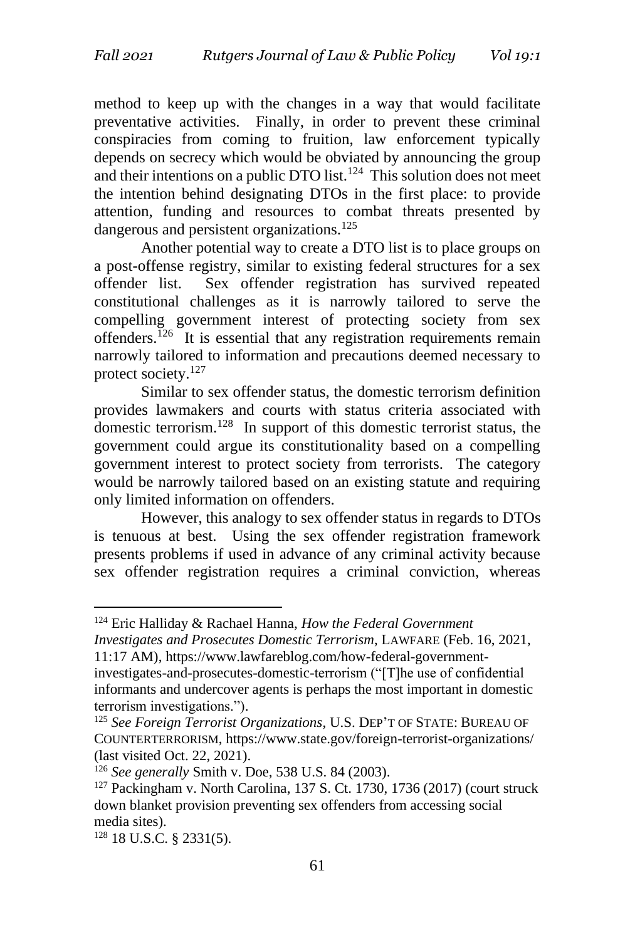method to keep up with the changes in a way that would facilitate preventative activities. Finally, in order to prevent these criminal conspiracies from coming to fruition, law enforcement typically depends on secrecy which would be obviated by announcing the group and their intentions on a public DTO list.<sup>124</sup> This solution does not meet the intention behind designating DTOs in the first place: to provide attention, funding and resources to combat threats presented by dangerous and persistent organizations.<sup>125</sup>

Another potential way to create a DTO list is to place groups on a post-offense registry, similar to existing federal structures for a sex offender list. Sex offender registration has survived repeated constitutional challenges as it is narrowly tailored to serve the compelling government interest of protecting society from sex offenders.<sup>126</sup> It is essential that any registration requirements remain narrowly tailored to information and precautions deemed necessary to protect society.<sup>127</sup>

Similar to sex offender status, the domestic terrorism definition provides lawmakers and courts with status criteria associated with domestic terrorism.<sup>128</sup> In support of this domestic terrorist status, the government could argue its constitutionality based on a compelling government interest to protect society from terrorists. The category would be narrowly tailored based on an existing statute and requiring only limited information on offenders.

However, this analogy to sex offender status in regards to DTOs is tenuous at best. Using the sex offender registration framework presents problems if used in advance of any criminal activity because sex offender registration requires a criminal conviction, whereas

<sup>124</sup> Eric Halliday & Rachael Hanna, *How the Federal Government* 

*Investigates and Prosecutes Domestic Terrorism*, LAWFARE (Feb. 16, 2021,

<sup>11:17</sup> AM), https://www.lawfareblog.com/how-federal-governmentinvestigates-and-prosecutes-domestic-terrorism ("[T]he use of confidential informants and undercover agents is perhaps the most important in domestic terrorism investigations.").

<sup>125</sup> *See Foreign Terrorist Organizations*, U.S. DEP'T OF STATE: BUREAU OF COUNTERTERRORISM, https://www.state.gov/foreign-terrorist-organizations/ (last visited Oct. 22, 2021).

<sup>126</sup> *See generally* Smith v. Doe, 538 U.S. 84 (2003).

<sup>127</sup> Packingham v. North Carolina, 137 S. Ct. 1730, 1736 (2017) (court struck down blanket provision preventing sex offenders from accessing social media sites).

 $128$  18 U.S.C. § 2331(5).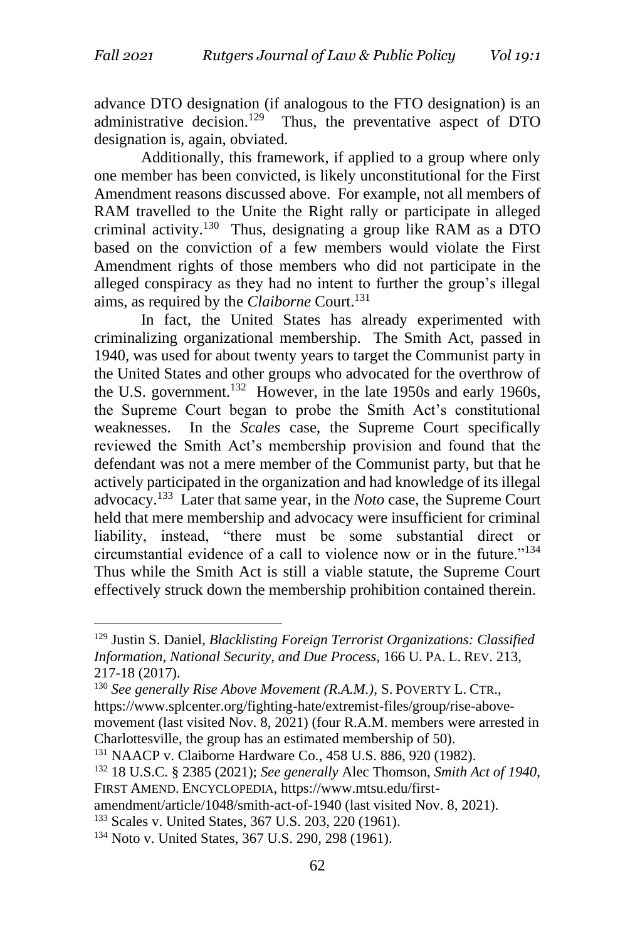advance DTO designation (if analogous to the FTO designation) is an administrative decision.<sup>129</sup> Thus, the preventative aspect of DTO designation is, again, obviated.

Additionally, this framework, if applied to a group where only one member has been convicted, is likely unconstitutional for the First Amendment reasons discussed above. For example, not all members of RAM travelled to the Unite the Right rally or participate in alleged criminal activity.<sup>130</sup> Thus, designating a group like RAM as a DTO based on the conviction of a few members would violate the First Amendment rights of those members who did not participate in the alleged conspiracy as they had no intent to further the group's illegal aims, as required by the *Claiborne* Court.<sup>131</sup>

In fact, the United States has already experimented with criminalizing organizational membership. The Smith Act, passed in 1940, was used for about twenty years to target the Communist party in the United States and other groups who advocated for the overthrow of the U.S. government.<sup>132</sup> However, in the late 1950s and early 1960s, the Supreme Court began to probe the Smith Act's constitutional weaknesses. In the *Scales* case, the Supreme Court specifically reviewed the Smith Act's membership provision and found that the defendant was not a mere member of the Communist party, but that he actively participated in the organization and had knowledge of its illegal advocacy.<sup>133</sup> Later that same year, in the *Noto* case, the Supreme Court held that mere membership and advocacy were insufficient for criminal liability, instead, "there must be some substantial direct or circumstantial evidence of a call to violence now or in the future."<sup>134</sup> Thus while the Smith Act is still a viable statute, the Supreme Court effectively struck down the membership prohibition contained therein.

amendment/article/1048/smith-act-of-1940 (last visited Nov. 8, 2021).

<sup>133</sup> Scales v. United States, 367 U.S. 203, 220 (1961).

<sup>129</sup> Justin S. Daniel, *Blacklisting Foreign Terrorist Organizations: Classified Information, National Security, and Due Process*, 166 U. PA. L. REV. 213, 217-18 (2017).

<sup>130</sup> *See generally Rise Above Movement (R.A.M.),* S. POVERTY L. CTR., https://www.splcenter.org/fighting-hate/extremist-files/group/rise-abovemovement (last visited Nov. 8, 2021) (four R.A.M. members were arrested in Charlottesville, the group has an estimated membership of 50).

<sup>131</sup> NAACP v. Claiborne Hardware Co*.,* 458 U.S. 886, 920 (1982).

<sup>132</sup> 18 U.S.C. § 2385 (2021); *See generally* Alec Thomson, *Smith Act of 1940*, FIRST AMEND. ENCYCLOPEDIA, https://www.mtsu.edu/first-

<sup>&</sup>lt;sup>134</sup> Noto v. United States, 367 U.S. 290, 298 (1961).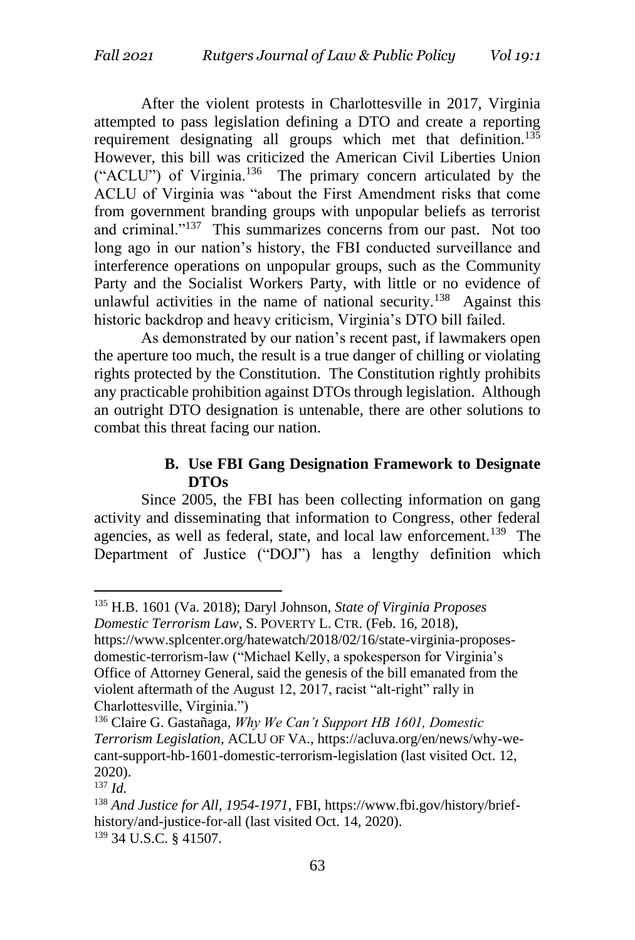After the violent protests in Charlottesville in 2017, Virginia attempted to pass legislation defining a DTO and create a reporting requirement designating all groups which met that definition.<sup>135</sup> However, this bill was criticized the American Civil Liberties Union ("ACLU") of Virginia.<sup>136</sup> The primary concern articulated by the ACLU of Virginia was "about the First Amendment risks that come from government branding groups with unpopular beliefs as terrorist and criminal."<sup>137</sup> This summarizes concerns from our past. Not too long ago in our nation's history, the FBI conducted surveillance and interference operations on unpopular groups, such as the Community Party and the Socialist Workers Party, with little or no evidence of unlawful activities in the name of national security.<sup>138</sup> Against this historic backdrop and heavy criticism, Virginia's DTO bill failed.

As demonstrated by our nation's recent past, if lawmakers open the aperture too much, the result is a true danger of chilling or violating rights protected by the Constitution. The Constitution rightly prohibits any practicable prohibition against DTOs through legislation. Although an outright DTO designation is untenable, there are other solutions to combat this threat facing our nation.

### **B. Use FBI Gang Designation Framework to Designate DTOs**

Since 2005, the FBI has been collecting information on gang activity and disseminating that information to Congress, other federal agencies, as well as federal, state, and local law enforcement.<sup>139</sup> The Department of Justice ("DOJ") has a lengthy definition which

<sup>135</sup> H.B. 1601 (Va. 2018); Daryl Johnson, *State of Virginia Proposes Domestic Terrorism Law*, S. POVERTY L. CTR. (Feb. 16, 2018), https://www.splcenter.org/hatewatch/2018/02/16/state-virginia-proposes-

domestic-terrorism-law ("Michael Kelly, a spokesperson for Virginia's Office of Attorney General, said the genesis of the bill emanated from the violent aftermath of the August 12, 2017, racist "alt-right" rally in Charlottesville, Virginia.")

<sup>136</sup> Claire G. Gastañaga, *Why We Can't Support HB 1601, Domestic Terrorism Legislation*, ACLU OF VA., https://acluva.org/en/news/why-wecant-support-hb-1601-domestic-terrorism-legislation (last visited Oct. 12, 2020).

<sup>137</sup> *Id.*

<sup>138</sup> *And Justice for All, 1954-1971*, FBI, https://www.fbi.gov/history/briefhistory/and-justice-for-all (last visited Oct. 14, 2020). <sup>139</sup> 34 U.S.C. § 41507.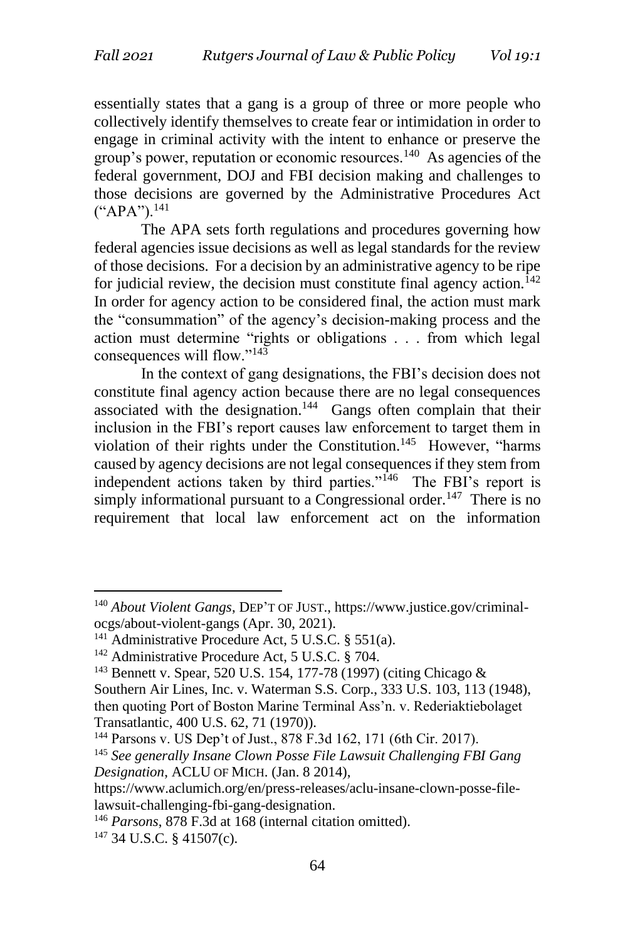essentially states that a gang is a group of three or more people who collectively identify themselves to create fear or intimidation in order to engage in criminal activity with the intent to enhance or preserve the group's power, reputation or economic resources.<sup>140</sup> As agencies of the federal government, DOJ and FBI decision making and challenges to those decisions are governed by the Administrative Procedures Act  $(*APA")$ .<sup>141</sup>

The APA sets forth regulations and procedures governing how federal agencies issue decisions as well as legal standards for the review of those decisions. For a decision by an administrative agency to be ripe for judicial review, the decision must constitute final agency action.<sup>142</sup> In order for agency action to be considered final, the action must mark the "consummation" of the agency's decision-making process and the action must determine "rights or obligations . . . from which legal consequences will flow."<sup>143</sup>

In the context of gang designations, the FBI's decision does not constitute final agency action because there are no legal consequences associated with the designation.<sup>144</sup> Gangs often complain that their inclusion in the FBI's report causes law enforcement to target them in violation of their rights under the Constitution.<sup>145</sup> However, "harms caused by agency decisions are not legal consequences if they stem from independent actions taken by third parties."<sup>146</sup> The FBI's report is simply informational pursuant to a Congressional order.<sup>147</sup> There is no requirement that local law enforcement act on the information

 $147$  34 U.S.C. § 41507(c).

<sup>140</sup> *About Violent Gangs*, DEP'T OF JUST., https://www.justice.gov/criminalocgs/about-violent-gangs (Apr. 30, 2021).

<sup>&</sup>lt;sup>141</sup> Administrative Procedure Act, 5 U.S.C. § 551(a).

 $142$  Administrative Procedure Act, 5 U.S.C. § 704.

<sup>143</sup> Bennett v. Spear, 520 U.S. 154, 177-78 (1997) (citing Chicago & Southern Air Lines, Inc. v. Waterman S.S. Corp., 333 U.S. 103, 113 (1948), then quoting Port of Boston Marine Terminal Ass'n. v. Rederiaktiebolaget Transatlantic*,* 400 U.S. 62, 71 (1970)).

<sup>144</sup> Parsons v. US Dep't of Just., 878 F.3d 162, 171 (6th Cir. 2017).

<sup>145</sup> *See generally Insane Clown Posse File Lawsuit Challenging FBI Gang Designation*, ACLU OF MICH. (Jan. 8 2014),

https://www.aclumich.org/en/press-releases/aclu-insane-clown-posse-filelawsuit-challenging-fbi-gang-designation.

<sup>146</sup> *Parsons*, 878 F.3d at 168 (internal citation omitted).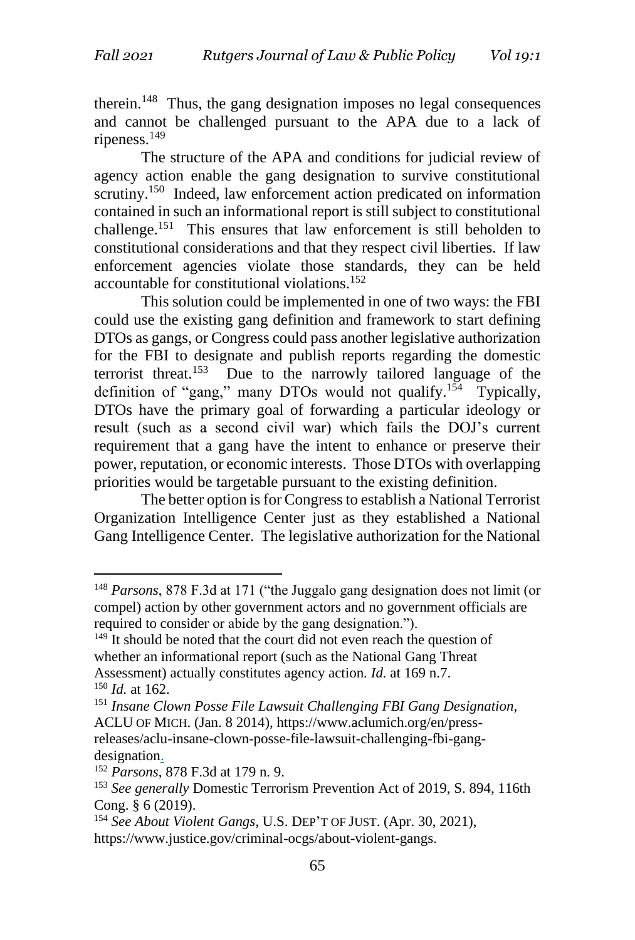therein.<sup>148</sup> Thus, the gang designation imposes no legal consequences and cannot be challenged pursuant to the APA due to a lack of ripeness.<sup>149</sup>

The structure of the APA and conditions for judicial review of agency action enable the gang designation to survive constitutional scrutiny.<sup>150</sup> Indeed, law enforcement action predicated on information contained in such an informational report is still subject to constitutional challenge.<sup>151</sup> This ensures that law enforcement is still beholden to constitutional considerations and that they respect civil liberties. If law enforcement agencies violate those standards, they can be held accountable for constitutional violations.<sup>152</sup>

This solution could be implemented in one of two ways: the FBI could use the existing gang definition and framework to start defining DTOs as gangs, or Congress could pass another legislative authorization for the FBI to designate and publish reports regarding the domestic terrorist threat.<sup>153</sup> Due to the narrowly tailored language of the definition of "gang," many DTOs would not qualify.<sup>154</sup> Typically, DTOs have the primary goal of forwarding a particular ideology or result (such as a second civil war) which fails the DOJ's current requirement that a gang have the intent to enhance or preserve their power, reputation, or economic interests. Those DTOs with overlapping priorities would be targetable pursuant to the existing definition.

The better option is for Congress to establish a National Terrorist Organization Intelligence Center just as they established a National Gang Intelligence Center. The legislative authorization for the National

designation.

<sup>148</sup> *Parsons*, 878 F.3d at 171 ("the Juggalo gang designation does not limit (or compel) action by other government actors and no government officials are required to consider or abide by the gang designation.").

<sup>&</sup>lt;sup>149</sup> It should be noted that the court did not even reach the question of whether an informational report (such as the National Gang Threat Assessment) actually constitutes agency action. *Id.* at 169 n.7. <sup>150</sup> *Id.* at 162.

<sup>151</sup> *Insane Clown Posse File Lawsuit Challenging FBI Gang Designation*, ACLU OF MICH. (Jan. 8 2014), https://www.aclumich.org/en/pressreleases/aclu-insane-clown-posse-file-lawsuit-challenging-fbi-gang-

<sup>152</sup> *Parsons*, 878 F.3d at 179 n. 9.

<sup>153</sup> *See generally* Domestic Terrorism Prevention Act of 2019, S. 894, 116th Cong. § 6 (2019).

<sup>154</sup> *See About Violent Gangs*, U.S. DEP'T OF JUST. (Apr. 30, 2021), https://www.justice.gov/criminal-ocgs/about-violent-gangs.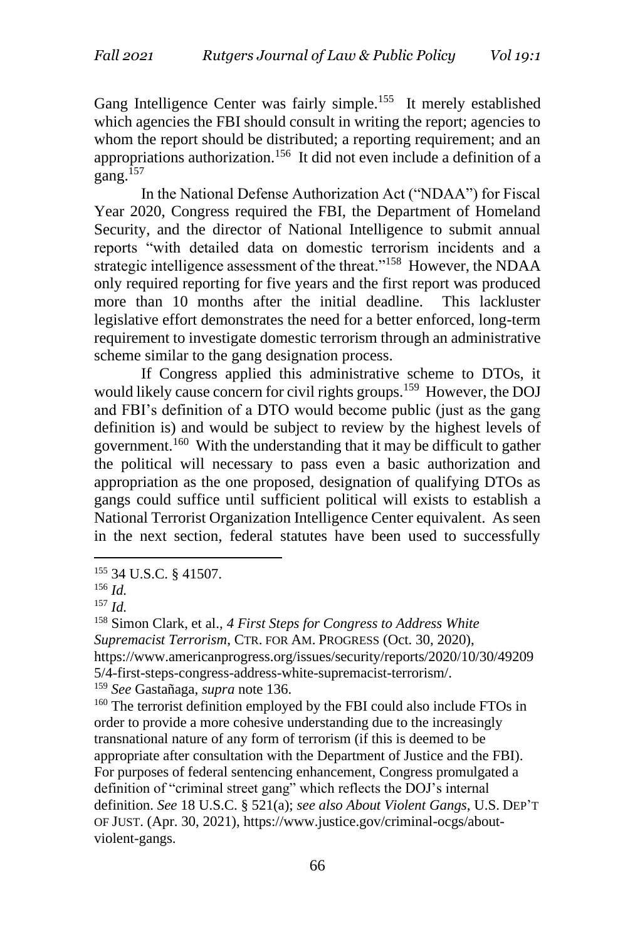Gang Intelligence Center was fairly simple.<sup>155</sup> It merely established which agencies the FBI should consult in writing the report; agencies to whom the report should be distributed; a reporting requirement; and an appropriations authorization.<sup>156</sup> It did not even include a definition of a gang.<sup>157</sup>

In the National Defense Authorization Act ("NDAA") for Fiscal Year 2020, Congress required the FBI, the Department of Homeland Security, and the director of National Intelligence to submit annual reports "with detailed data on domestic terrorism incidents and a strategic intelligence assessment of the threat."<sup>158</sup> However, the NDAA only required reporting for five years and the first report was produced more than 10 months after the initial deadline. This lackluster legislative effort demonstrates the need for a better enforced, long-term requirement to investigate domestic terrorism through an administrative scheme similar to the gang designation process.

If Congress applied this administrative scheme to DTOs, it would likely cause concern for civil rights groups.<sup>159</sup> However, the DOJ and FBI's definition of a DTO would become public (just as the gang definition is) and would be subject to review by the highest levels of government.<sup>160</sup> With the understanding that it may be difficult to gather the political will necessary to pass even a basic authorization and appropriation as the one proposed, designation of qualifying DTOs as gangs could suffice until sufficient political will exists to establish a National Terrorist Organization Intelligence Center equivalent. As seen in the next section, federal statutes have been used to successfully

 $160$  The terrorist definition employed by the FBI could also include FTOs in order to provide a more cohesive understanding due to the increasingly transnational nature of any form of terrorism (if this is deemed to be appropriate after consultation with the Department of Justice and the FBI). For purposes of federal sentencing enhancement, Congress promulgated a definition of "criminal street gang" which reflects the DOJ's internal definition. *See* 18 U.S.C. § 521(a); *see also About Violent Gangs*, U.S. DEP'T OF JUST. (Apr. 30, 2021), https://www.justice.gov/criminal-ocgs/aboutviolent-gangs.

<sup>155</sup> 34 U.S.C. § 41507.

<sup>156</sup> *Id.*

<sup>157</sup> *Id.*

<sup>158</sup> Simon Clark, et al., *4 First Steps for Congress to Address White Supremacist Terrorism*, CTR. FOR AM. PROGRESS (Oct. 30, 2020), https://www.americanprogress.org/issues/security/reports/2020/10/30/49209 5/4-first-steps-congress-address-white-supremacist-terrorism/. <sup>159</sup> *See* Gastañaga, *supra* note 136.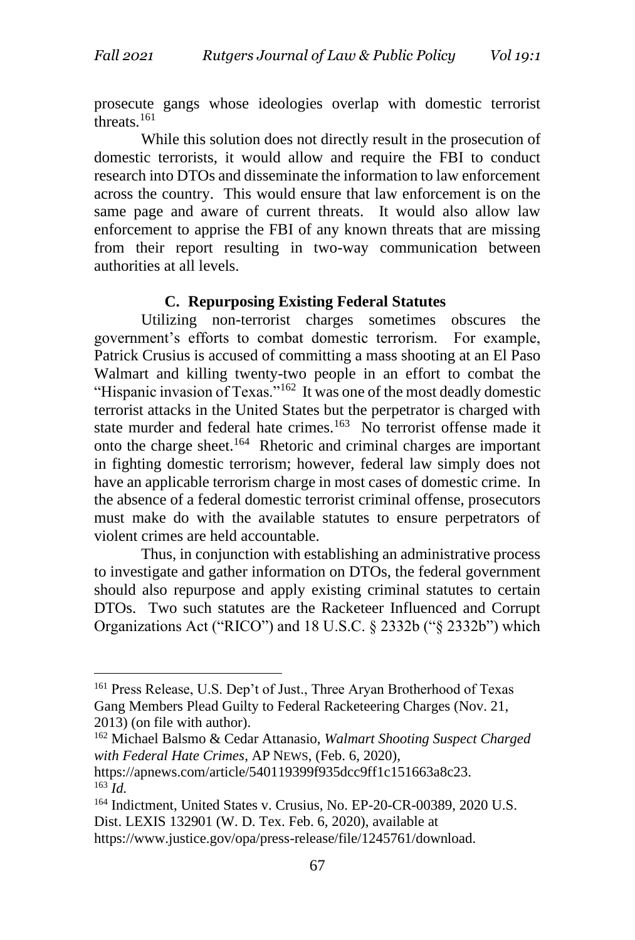prosecute gangs whose ideologies overlap with domestic terrorist threats.<sup>161</sup>

While this solution does not directly result in the prosecution of domestic terrorists, it would allow and require the FBI to conduct research into DTOs and disseminate the information to law enforcement across the country. This would ensure that law enforcement is on the same page and aware of current threats. It would also allow law enforcement to apprise the FBI of any known threats that are missing from their report resulting in two-way communication between authorities at all levels.

### **C. Repurposing Existing Federal Statutes**

Utilizing non-terrorist charges sometimes obscures the government's efforts to combat domestic terrorism. For example, Patrick Crusius is accused of committing a mass shooting at an El Paso Walmart and killing twenty-two people in an effort to combat the "Hispanic invasion of Texas."<sup>162</sup> It was one of the most deadly domestic terrorist attacks in the United States but the perpetrator is charged with state murder and federal hate crimes.<sup>163</sup> No terrorist offense made it onto the charge sheet.<sup>164</sup> Rhetoric and criminal charges are important in fighting domestic terrorism; however, federal law simply does not have an applicable terrorism charge in most cases of domestic crime. In the absence of a federal domestic terrorist criminal offense, prosecutors must make do with the available statutes to ensure perpetrators of violent crimes are held accountable.

Thus, in conjunction with establishing an administrative process to investigate and gather information on DTOs, the federal government should also repurpose and apply existing criminal statutes to certain DTOs. Two such statutes are the Racketeer Influenced and Corrupt Organizations Act ("RICO") and 18 U.S.C. § 2332b ("§ 2332b") which

<sup>161</sup> Press Release, U.S. Dep't of Just., Three Aryan Brotherhood of Texas Gang Members Plead Guilty to Federal Racketeering Charges (Nov. 21, 2013) (on file with author).

<sup>162</sup> Michael Balsmo & Cedar Attanasio, *Walmart Shooting Suspect Charged with Federal Hate Crimes*, AP NEWS, (Feb. 6, 2020),

https://apnews.com/article/540119399f935dcc9ff1c151663a8c23. <sup>163</sup> *Id.*

<sup>164</sup> Indictment, United States v. Crusius, No. EP-20-CR-00389, 2020 U.S. Dist. LEXIS 132901 (W. D. Tex. Feb. 6, 2020), available at https://www.justice.gov/opa/press-release/file/1245761/download.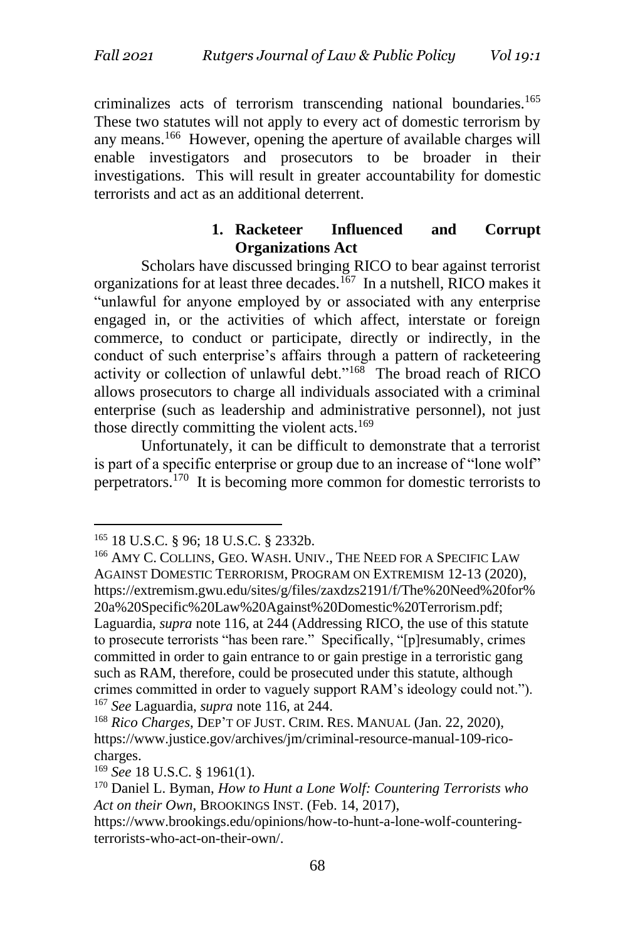criminalizes acts of terrorism transcending national boundaries.<sup>165</sup> These two statutes will not apply to every act of domestic terrorism by any means.<sup>166</sup> However, opening the aperture of available charges will enable investigators and prosecutors to be broader in their investigations. This will result in greater accountability for domestic terrorists and act as an additional deterrent.

### **1. Racketeer Influenced and Corrupt Organizations Act**

Scholars have discussed bringing RICO to bear against terrorist organizations for at least three decades.<sup>167</sup> In a nutshell, RICO makes it "unlawful for anyone employed by or associated with any enterprise engaged in, or the activities of which affect, interstate or foreign commerce, to conduct or participate, directly or indirectly, in the conduct of such enterprise's affairs through a pattern of racketeering activity or collection of unlawful debt."<sup>168</sup> The broad reach of RICO allows prosecutors to charge all individuals associated with a criminal enterprise (such as leadership and administrative personnel), not just those directly committing the violent acts.<sup>169</sup>

Unfortunately, it can be difficult to demonstrate that a terrorist is part of a specific enterprise or group due to an increase of "lone wolf" perpetrators.<sup>170</sup> It is becoming more common for domestic terrorists to

<sup>165</sup> 18 U.S.C. § 96; 18 U.S.C. § 2332b.

<sup>166</sup> AMY C. COLLINS, GEO. WASH. UNIV., THE NEED FOR A SPECIFIC LAW AGAINST DOMESTIC TERRORISM, PROGRAM ON EXTREMISM 12-13 (2020), https://extremism.gwu.edu/sites/g/files/zaxdzs2191/f/The%20Need%20for% 20a%20Specific%20Law%20Against%20Domestic%20Terrorism.pdf; Laguardia, *supra* note 116, at 244 (Addressing RICO, the use of this statute to prosecute terrorists "has been rare." Specifically, "[p]resumably, crimes committed in order to gain entrance to or gain prestige in a terroristic gang such as RAM, therefore, could be prosecuted under this statute, although crimes committed in order to vaguely support RAM's ideology could not."). <sup>167</sup> *See* Laguardia, *supra* note 116, at 244.

<sup>168</sup> *Rico Charges*, DEP'T OF JUST. CRIM. RES. MANUAL (Jan. 22, 2020), https://www.justice.gov/archives/jm/criminal-resource-manual-109-ricocharges.

<sup>169</sup> *See* 18 U.S.C. § 1961(1).

<sup>170</sup> Daniel L. Byman, *How to Hunt a Lone Wolf: Countering Terrorists who Act on their Own*, BROOKINGS INST. (Feb. 14, 2017),

https://www.brookings.edu/opinions/how-to-hunt-a-lone-wolf-counteringterrorists-who-act-on-their-own/.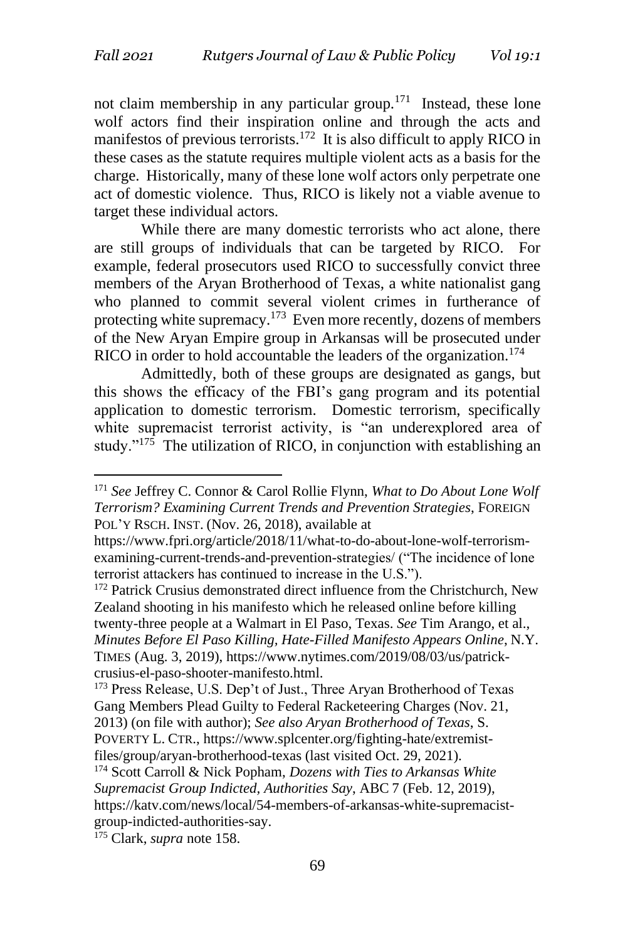not claim membership in any particular group.<sup>171</sup> Instead, these lone wolf actors find their inspiration online and through the acts and manifestos of previous terrorists.<sup>172</sup> It is also difficult to apply RICO in these cases as the statute requires multiple violent acts as a basis for the charge. Historically, many of these lone wolf actors only perpetrate one act of domestic violence. Thus, RICO is likely not a viable avenue to target these individual actors.

While there are many domestic terrorists who act alone, there are still groups of individuals that can be targeted by RICO. For example, federal prosecutors used RICO to successfully convict three members of the Aryan Brotherhood of Texas, a white nationalist gang who planned to commit several violent crimes in furtherance of protecting white supremacy.<sup>173</sup> Even more recently, dozens of members of the New Aryan Empire group in Arkansas will be prosecuted under RICO in order to hold accountable the leaders of the organization.<sup>174</sup>

Admittedly, both of these groups are designated as gangs, but this shows the efficacy of the FBI's gang program and its potential application to domestic terrorism. Domestic terrorism, specifically white supremacist terrorist activity, is "an underexplored area of study."<sup>175</sup> The utilization of RICO, in conjunction with establishing an

<sup>172</sup> Patrick Crusius demonstrated direct influence from the Christchurch, New Zealand shooting in his manifesto which he released online before killing twenty-three people at a Walmart in El Paso, Texas. *See* Tim Arango, et al., *Minutes Before El Paso Killing, Hate-Filled Manifesto Appears Online*, N.Y. TIMES (Aug. 3, 2019), https://www.nytimes.com/2019/08/03/us/patrickcrusius-el-paso-shooter-manifesto.html.

<sup>173</sup> Press Release, U.S. Dep't of Just., Three Aryan Brotherhood of Texas Gang Members Plead Guilty to Federal Racketeering Charges (Nov. 21, 2013) (on file with author); *See also Aryan Brotherhood of Texas*, S. POVERTY L. CTR., https://www.splcenter.org/fighting-hate/extremistfiles/group/aryan-brotherhood-texas (last visited Oct. 29, 2021).

<sup>175</sup> Clark, *supra* note 158.

<sup>171</sup> *See* Jeffrey C. Connor & Carol Rollie Flynn, *What to Do About Lone Wolf Terrorism? Examining Current Trends and Prevention Strategies*, FOREIGN POL'Y RSCH. INST. (Nov. 26, 2018), available at

https://www.fpri.org/article/2018/11/what-to-do-about-lone-wolf-terrorismexamining-current-trends-and-prevention-strategies/ ("The incidence of lone terrorist attackers has continued to increase in the U.S.").

<sup>174</sup> Scott Carroll & Nick Popham, *Dozens with Ties to Arkansas White Supremacist Group Indicted, Authorities Say*, ABC 7 (Feb. 12, 2019), https://katv.com/news/local/54-members-of-arkansas-white-supremacistgroup-indicted-authorities-say.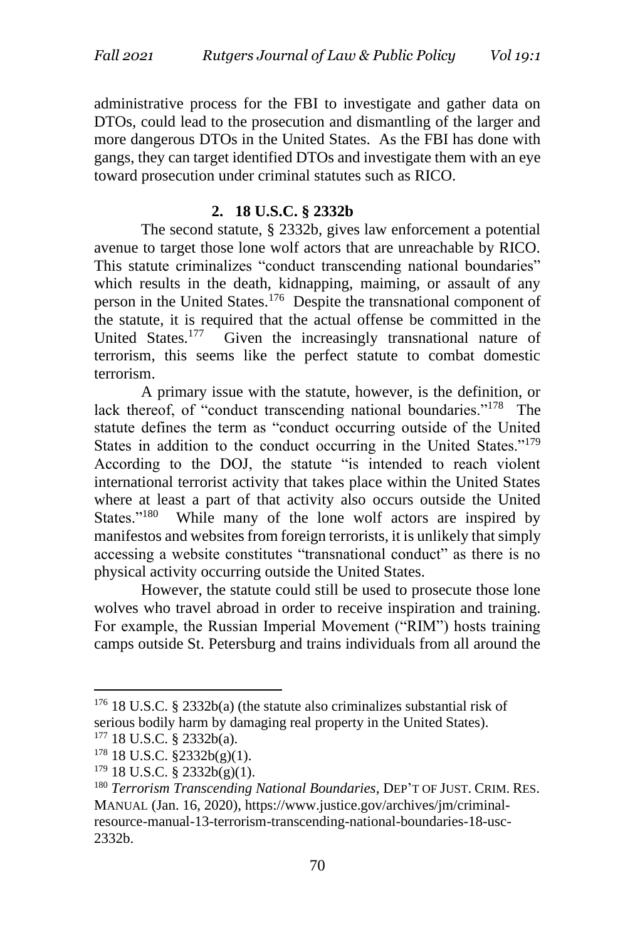administrative process for the FBI to investigate and gather data on DTOs, could lead to the prosecution and dismantling of the larger and more dangerous DTOs in the United States. As the FBI has done with gangs, they can target identified DTOs and investigate them with an eye toward prosecution under criminal statutes such as RICO.

### **2. 18 U.S.C. § 2332b**

The second statute, § 2332b, gives law enforcement a potential avenue to target those lone wolf actors that are unreachable by RICO. This statute criminalizes "conduct transcending national boundaries" which results in the death, kidnapping, maiming, or assault of any person in the United States.<sup>176</sup> Despite the transnational component of the statute, it is required that the actual offense be committed in the United States.<sup>177</sup> Given the increasingly transnational nature of terrorism, this seems like the perfect statute to combat domestic terrorism.

A primary issue with the statute, however, is the definition, or lack thereof, of "conduct transcending national boundaries."<sup>178</sup> The statute defines the term as "conduct occurring outside of the United States in addition to the conduct occurring in the United States."<sup>179</sup> According to the DOJ, the statute "is intended to reach violent international terrorist activity that takes place within the United States where at least a part of that activity also occurs outside the United States."<sup>180</sup> While many of the lone wolf actors are inspired by manifestos and websites from foreign terrorists, it is unlikely that simply accessing a website constitutes "transnational conduct" as there is no physical activity occurring outside the United States.

However, the statute could still be used to prosecute those lone wolves who travel abroad in order to receive inspiration and training. For example, the Russian Imperial Movement ("RIM") hosts training camps outside St. Petersburg and trains individuals from all around the

 $176$  18 U.S.C. § 2332b(a) (the statute also criminalizes substantial risk of serious bodily harm by damaging real property in the United States).

 $177$  18 U.S.C. § 2332b(a).

<sup>178</sup> 18 U.S.C. §2332b(g)(1).

<sup>179</sup> 18 U.S.C. § 2332b(g)(1).

<sup>180</sup> *Terrorism Transcending National Boundaries*, DEP'T OF JUST. CRIM. RES. MANUAL (Jan. 16, 2020), https://www.justice.gov/archives/jm/criminalresource-manual-13-terrorism-transcending-national-boundaries-18-usc-2332b.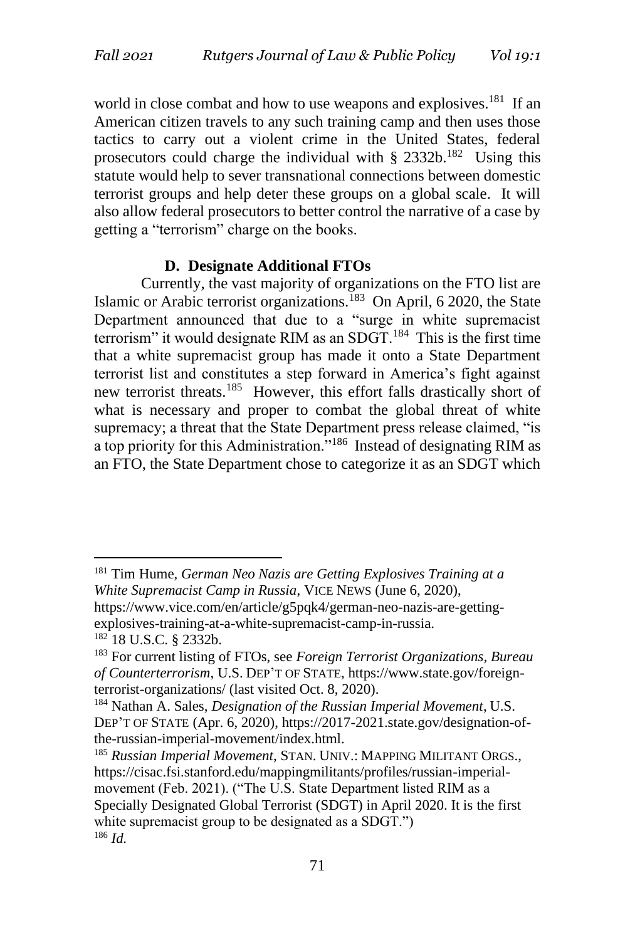world in close combat and how to use weapons and explosives.<sup>181</sup> If an American citizen travels to any such training camp and then uses those tactics to carry out a violent crime in the United States, federal prosecutors could charge the individual with  $\S 2332b$ .<sup>182</sup> Using this statute would help to sever transnational connections between domestic terrorist groups and help deter these groups on a global scale. It will also allow federal prosecutors to better control the narrative of a case by getting a "terrorism" charge on the books.

#### **D. Designate Additional FTOs**

Currently, the vast majority of organizations on the FTO list are Islamic or Arabic terrorist organizations.<sup>183</sup> On April, 6 2020, the State Department announced that due to a "surge in white supremacist terrorism" it would designate RIM as an SDGT. $^{184}$  This is the first time that a white supremacist group has made it onto a State Department terrorist list and constitutes a step forward in America's fight against new terrorist threats.<sup>185</sup> However, this effort falls drastically short of what is necessary and proper to combat the global threat of white supremacy; a threat that the State Department press release claimed, "is a top priority for this Administration."<sup>186</sup> Instead of designating RIM as an FTO, the State Department chose to categorize it as an SDGT which

<sup>181</sup> Tim Hume, *German Neo Nazis are Getting Explosives Training at a White Supremacist Camp in Russia*, VICE NEWS (June 6, 2020), https://www.vice.com/en/article/g5pqk4/german-neo-nazis-are-gettingexplosives-training-at-a-white-supremacist-camp-in-russia. <sup>182</sup> 18 U.S.C. § 2332b.

<sup>183</sup> For current listing of FTOs, see *Foreign Terrorist Organizations, Bureau of Counterterrorism*, U.S. DEP'T OF STATE, https://www.state.gov/foreignterrorist-organizations/ (last visited Oct. 8, 2020).

<sup>184</sup> Nathan A. Sales, *Designation of the Russian Imperial Movement*, U.S. DEP'T OF STATE (Apr. 6, 2020), https://2017-2021.state.gov/designation-ofthe-russian-imperial-movement/index.html.

<sup>185</sup> *Russian Imperial Movement*, STAN. UNIV.: MAPPING MILITANT ORGS., https://cisac.fsi.stanford.edu/mappingmilitants/profiles/russian-imperialmovement (Feb. 2021). ("The U.S. State Department listed RIM as a Specially Designated Global Terrorist (SDGT) in April 2020. It is the first white supremacist group to be designated as a SDGT.") <sup>186</sup> *Id.*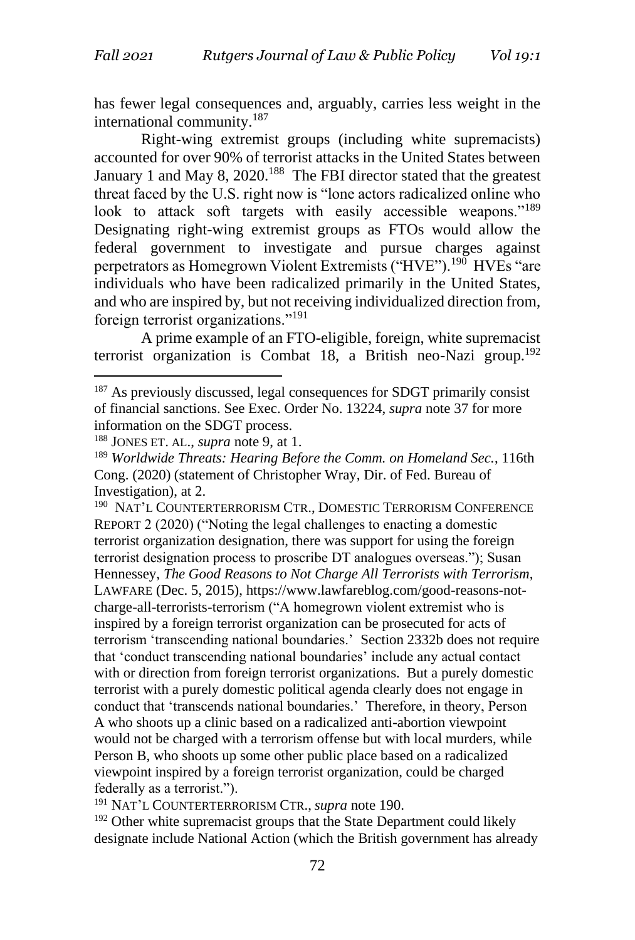has fewer legal consequences and, arguably, carries less weight in the international community.<sup>187</sup>

Right-wing extremist groups (including white supremacists) accounted for over 90% of terrorist attacks in the United States between January 1 and May 8, 2020.<sup>188</sup> The FBI director stated that the greatest threat faced by the U.S. right now is "lone actors radicalized online who look to attack soft targets with easily accessible weapons."<sup>189</sup> Designating right-wing extremist groups as FTOs would allow the federal government to investigate and pursue charges against perpetrators as Homegrown Violent Extremists ("HVE").<sup>190</sup> HVEs "are individuals who have been radicalized primarily in the United States, and who are inspired by, but not receiving individualized direction from, foreign terrorist organizations."<sup>191</sup>

A prime example of an FTO-eligible, foreign, white supremacist terrorist organization is Combat 18, a British neo-Nazi group.<sup>192</sup>

<sup>190</sup> NAT'L COUNTERTERRORISM CTR., DOMESTIC TERRORISM CONFERENCE REPORT 2 (2020) ("Noting the legal challenges to enacting a domestic terrorist organization designation, there was support for using the foreign terrorist designation process to proscribe DT analogues overseas."); Susan Hennessey, *The Good Reasons to Not Charge All Terrorists with Terrorism*, LAWFARE (Dec. 5, 2015), https://www.lawfareblog.com/good-reasons-notcharge-all-terrorists-terrorism ("A homegrown violent extremist who is inspired by a foreign terrorist organization can be prosecuted for acts of terrorism 'transcending national boundaries.' Section 2332b does not require that 'conduct transcending national boundaries' include any actual contact with or direction from foreign terrorist organizations. But a purely domestic terrorist with a purely domestic political agenda clearly does not engage in conduct that 'transcends national boundaries.' Therefore, in theory, Person A who shoots up a clinic based on a radicalized anti-abortion viewpoint would not be charged with a terrorism offense but with local murders, while Person B, who shoots up some other public place based on a radicalized viewpoint inspired by a foreign terrorist organization, could be charged federally as a terrorist.").

<sup>191</sup> NAT'L COUNTERTERRORISM CTR., *supra* note 190.

<sup>192</sup> Other white supremacist groups that the State Department could likely designate include National Action (which the British government has already

<sup>&</sup>lt;sup>187</sup> As previously discussed, legal consequences for SDGT primarily consist of financial sanctions. See Exec. Order No. 13224, *supra* note 37 for more information on the SDGT process.

<sup>188</sup> JONES ET. AL., *supra* note 9, at 1.

<sup>189</sup> *Worldwide Threats: Hearing Before the Comm. on Homeland Sec.*, 116th Cong. (2020) (statement of Christopher Wray, Dir. of Fed. Bureau of Investigation), at 2.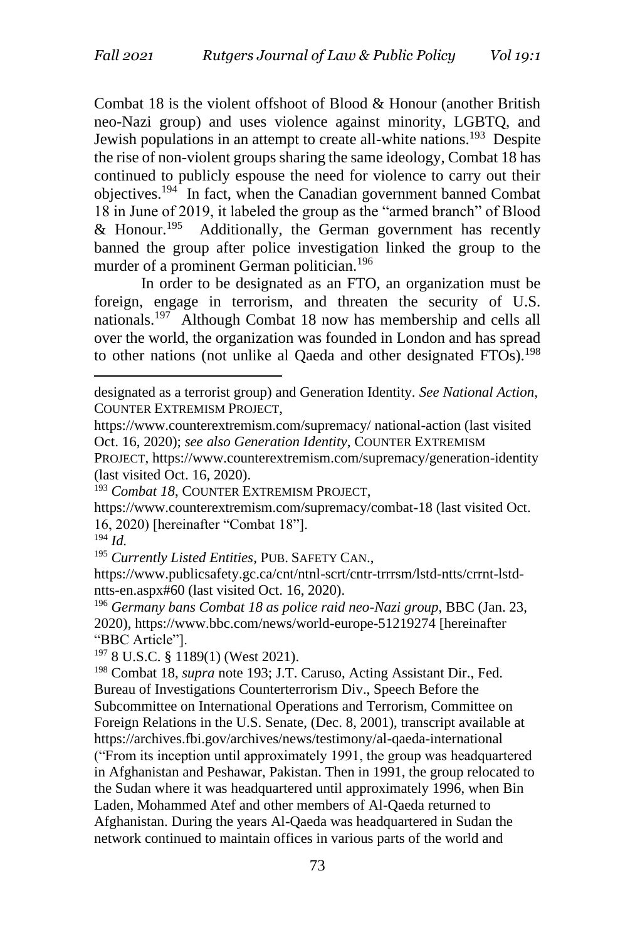Combat 18 is the violent offshoot of Blood & Honour (another British neo-Nazi group) and uses violence against minority, LGBTQ, and Jewish populations in an attempt to create all-white nations.<sup>193</sup> Despite the rise of non-violent groups sharing the same ideology, Combat 18 has continued to publicly espouse the need for violence to carry out their objectives.<sup>194</sup> In fact, when the Canadian government banned Combat 18 in June of 2019, it labeled the group as the "armed branch" of Blood & Honour.<sup>195</sup> Additionally, the German government has recently banned the group after police investigation linked the group to the murder of a prominent German politician.<sup>196</sup>

In order to be designated as an FTO, an organization must be foreign, engage in terrorism, and threaten the security of U.S. nationals.<sup>197</sup> Although Combat 18 now has membership and cells all over the world, the organization was founded in London and has spread to other nations (not unlike al Qaeda and other designated FTOs).<sup>198</sup>

PROJECT, https://www.counterextremism.com/supremacy/generation-identity (last visited Oct. 16, 2020).

https://www.counterextremism.com/supremacy/combat-18 (last visited Oct. 16, 2020) [hereinafter "Combat 18"].

<sup>195</sup> *Currently Listed Entities*, PUB. SAFETY CAN.,

https://www.publicsafety.gc.ca/cnt/ntnl-scrt/cntr-trrrsm/lstd-ntts/crrnt-lstdntts-en.aspx#60 (last visited Oct. 16, 2020).

<sup>196</sup> *Germany bans Combat 18 as police raid neo-Nazi group*, BBC (Jan. 23, 2020), https://www.bbc.com/news/world-europe-51219274 [hereinafter "BBC Article"].

 $197$  8 U.S.C. § 1189(1) (West 2021).

designated as a terrorist group) and Generation Identity. *See National Action*, COUNTER EXTREMISM PROJECT,

https://www.counterextremism.com/supremacy/ national-action (last visited Oct. 16, 2020); *see also Generation Identity*, COUNTER EXTREMISM

<sup>&</sup>lt;sup>193</sup> Combat 18, COUNTER EXTREMISM PROJECT,

<sup>194</sup> *Id.*

<sup>198</sup> Combat 18, *supra* note 193; J.T. Caruso, Acting Assistant Dir., Fed. Bureau of Investigations Counterterrorism Div., Speech Before the Subcommittee on International Operations and Terrorism, Committee on Foreign Relations in the U.S. Senate, (Dec. 8, 2001), transcript available at https://archives.fbi.gov/archives/news/testimony/al-qaeda-international ("From its inception until approximately 1991, the group was headquartered in Afghanistan and Peshawar, Pakistan. Then in 1991, the group relocated to the Sudan where it was headquartered until approximately 1996, when Bin Laden, Mohammed Atef and other members of Al-Qaeda returned to Afghanistan. During the years Al-Qaeda was headquartered in Sudan the network continued to maintain offices in various parts of the world and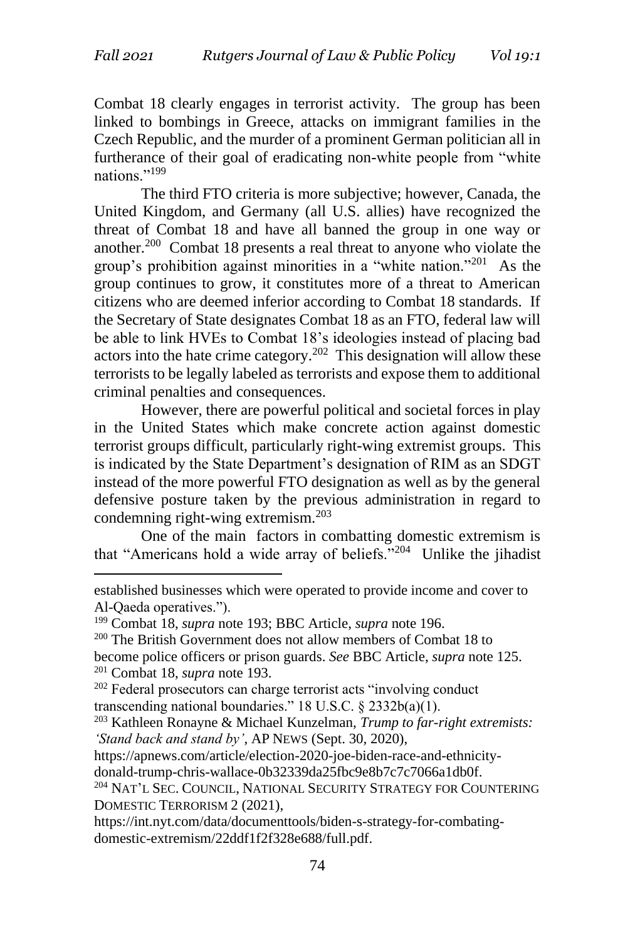Combat 18 clearly engages in terrorist activity. The group has been linked to bombings in Greece, attacks on immigrant families in the Czech Republic, and the murder of a prominent German politician all in furtherance of their goal of eradicating non-white people from "white nations."<sup>199</sup>

The third FTO criteria is more subjective; however, Canada, the United Kingdom, and Germany (all U.S. allies) have recognized the threat of Combat 18 and have all banned the group in one way or another.<sup>200</sup> Combat 18 presents a real threat to anyone who violate the group's prohibition against minorities in a "white nation."<sup>201</sup> As the group continues to grow, it constitutes more of a threat to American citizens who are deemed inferior according to Combat 18 standards. If the Secretary of State designates Combat 18 as an FTO, federal law will be able to link HVEs to Combat 18's ideologies instead of placing bad actors into the hate crime category.<sup>202</sup> This designation will allow these terrorists to be legally labeled as terrorists and expose them to additional criminal penalties and consequences.

However, there are powerful political and societal forces in play in the United States which make concrete action against domestic terrorist groups difficult, particularly right-wing extremist groups. This is indicated by the State Department's designation of RIM as an SDGT instead of the more powerful FTO designation as well as by the general defensive posture taken by the previous administration in regard to condemning right-wing extremism. $203$ 

One of the main factors in combatting domestic extremism is that "Americans hold a wide array of beliefs."<sup>204</sup> Unlike the jihadist

<sup>200</sup> The British Government does not allow members of Combat 18 to become police officers or prison guards. *See* BBC Article, *supra* note 125. <sup>201</sup> Combat 18, *supra* note 193.

<sup>202</sup> Federal prosecutors can charge terrorist acts "involving conduct transcending national boundaries." 18 U.S.C. § 2332b(a)(1).

https://apnews.com/article/election-2020-joe-biden-race-and-ethnicity-

donald-trump-chris-wallace-0b32339da25fbc9e8b7c7c7066a1db0f.

established businesses which were operated to provide income and cover to Al-Qaeda operatives.").

<sup>199</sup> Combat 18, *supra* note 193; BBC Article, *supra* note 196.

<sup>203</sup> Kathleen Ronayne & Michael Kunzelman, *Trump to far-right extremists: 'Stand back and stand by'*, AP NEWS (Sept. 30, 2020),

<sup>204</sup> NAT'L SEC. COUNCIL, NATIONAL SECURITY STRATEGY FOR COUNTERING DOMESTIC TERRORISM 2 (2021),

https://int.nyt.com/data/documenttools/biden-s-strategy-for-combatingdomestic-extremism/22ddf1f2f328e688/full.pdf.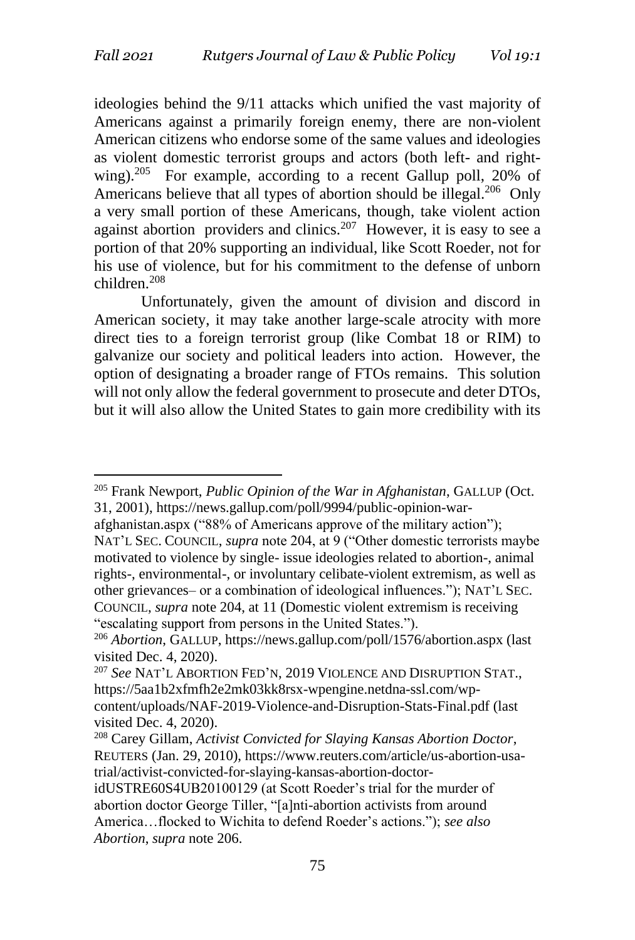ideologies behind the 9/11 attacks which unified the vast majority of Americans against a primarily foreign enemy, there are non-violent American citizens who endorse some of the same values and ideologies as violent domestic terrorist groups and actors (both left- and rightwing).<sup>205</sup> For example, according to a recent Gallup poll, 20% of Americans believe that all types of abortion should be illegal.<sup>206</sup> Only a very small portion of these Americans, though, take violent action against abortion providers and clinics.<sup>207</sup> However, it is easy to see a portion of that 20% supporting an individual, like Scott Roeder, not for his use of violence, but for his commitment to the defense of unborn children.<sup>208</sup>

Unfortunately, given the amount of division and discord in American society, it may take another large-scale atrocity with more direct ties to a foreign terrorist group (like Combat 18 or RIM) to galvanize our society and political leaders into action. However, the option of designating a broader range of FTOs remains. This solution will not only allow the federal government to prosecute and deter DTOs, but it will also allow the United States to gain more credibility with its

<sup>205</sup> Frank Newport, *Public Opinion of the War in Afghanistan*, GALLUP (Oct. 31, 2001), https://news.gallup.com/poll/9994/public-opinion-war-

afghanistan.aspx ("88% of Americans approve of the military action"); NAT'L SEC. COUNCIL, *supra* note 204, at 9 ("Other domestic terrorists maybe motivated to violence by single- issue ideologies related to abortion-, animal rights-, environmental-, or involuntary celibate-violent extremism, as well as other grievances– or a combination of ideological influences."); NAT'L SEC. COUNCIL, *supra* note 204, at 11 (Domestic violent extremism is receiving "escalating support from persons in the United States.").

<sup>206</sup> *Abortion*, GALLUP, https://news.gallup.com/poll/1576/abortion.aspx (last visited Dec. 4, 2020).

<sup>207</sup> *See* NAT'L ABORTION FED'N, 2019 VIOLENCE AND DISRUPTION STAT., https://5aa1b2xfmfh2e2mk03kk8rsx-wpengine.netdna-ssl.com/wpcontent/uploads/NAF-2019-Violence-and-Disruption-Stats-Final.pdf (last visited Dec. 4, 2020).

<sup>208</sup> Carey Gillam, *Activist Convicted for Slaying Kansas Abortion Doctor*, REUTERS (Jan. 29, 2010), https://www.reuters.com/article/us-abortion-usatrial/activist-convicted-for-slaying-kansas-abortion-doctor-

idUSTRE60S4UB20100129 (at Scott Roeder's trial for the murder of abortion doctor George Tiller, "[a]nti-abortion activists from around America…flocked to Wichita to defend Roeder's actions."); *see also Abortion*, *supra* note 206.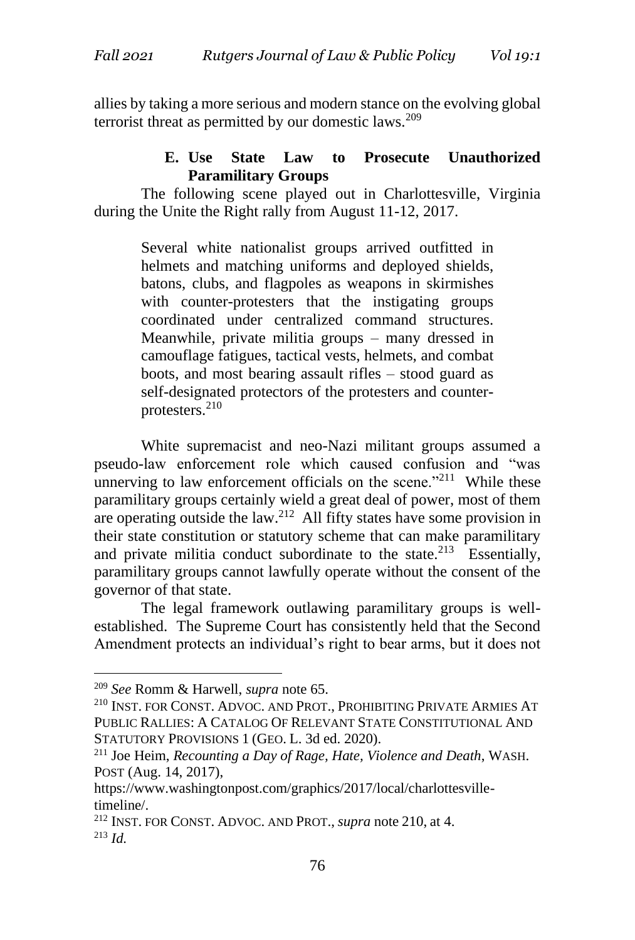allies by taking a more serious and modern stance on the evolving global terrorist threat as permitted by our domestic laws.<sup>209</sup>

# **E. Use State Law to Prosecute Unauthorized Paramilitary Groups**

The following scene played out in Charlottesville, Virginia during the Unite the Right rally from August 11-12, 2017.

> Several white nationalist groups arrived outfitted in helmets and matching uniforms and deployed shields, batons, clubs, and flagpoles as weapons in skirmishes with counter-protesters that the instigating groups coordinated under centralized command structures. Meanwhile, private militia groups – many dressed in camouflage fatigues, tactical vests, helmets, and combat boots, and most bearing assault rifles – stood guard as self-designated protectors of the protesters and counterprotesters.<sup>210</sup>

White supremacist and neo-Nazi militant groups assumed a pseudo-law enforcement role which caused confusion and "was unnerving to law enforcement officials on the scene."<sup>211</sup> While these paramilitary groups certainly wield a great deal of power, most of them are operating outside the law.<sup>212</sup> All fifty states have some provision in their state constitution or statutory scheme that can make paramilitary and private militia conduct subordinate to the state.<sup>213</sup> Essentially, paramilitary groups cannot lawfully operate without the consent of the governor of that state.

The legal framework outlawing paramilitary groups is wellestablished. The Supreme Court has consistently held that the Second Amendment protects an individual's right to bear arms, but it does not

<sup>209</sup> *See* Romm & Harwell, *supra* note 65.

<sup>210</sup> INST. FOR CONST. ADVOC. AND PROT., PROHIBITING PRIVATE ARMIES AT PUBLIC RALLIES: A CATALOG OF RELEVANT STATE CONSTITUTIONAL AND STATUTORY PROVISIONS 1 (GEO. L. 3d ed. 2020).

<sup>211</sup> Joe Heim, *Recounting a Day of Rage, Hate, Violence and Death*, WASH. POST (Aug. 14, 2017),

https://www.washingtonpost.com/graphics/2017/local/charlottesvilletimeline/.

<sup>212</sup> INST. FOR CONST. ADVOC. AND PROT., *supra* note 210, at 4. <sup>213</sup> *Id.*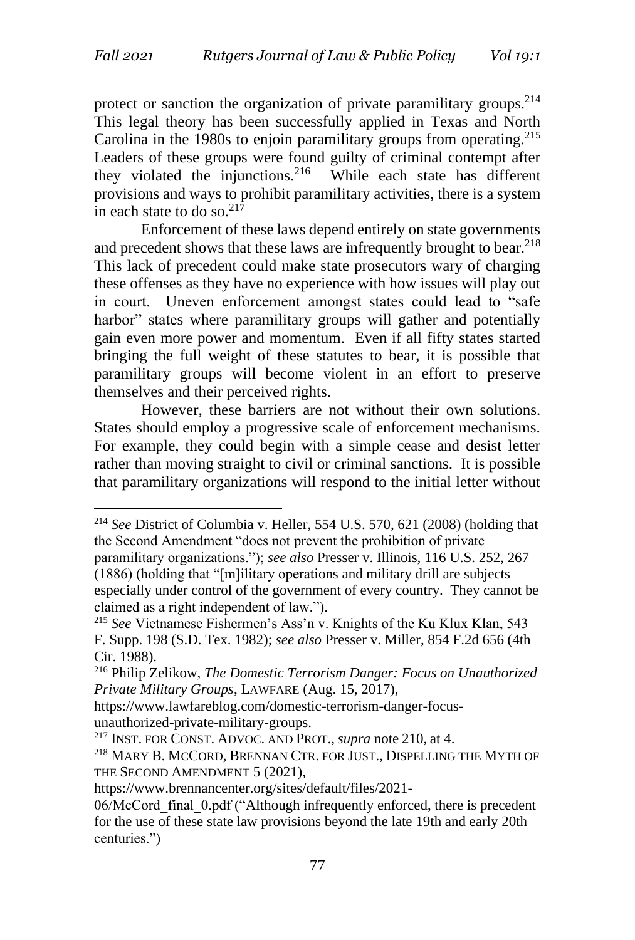protect or sanction the organization of private paramilitary groups.<sup>214</sup> This legal theory has been successfully applied in Texas and North Carolina in the 1980s to enjoin paramilitary groups from operating.<sup>215</sup> Leaders of these groups were found guilty of criminal contempt after they violated the injunctions. $2^{16}$  While each state has different provisions and ways to prohibit paramilitary activities, there is a system in each state to do so. $^{217}$ 

Enforcement of these laws depend entirely on state governments and precedent shows that these laws are infrequently brought to bear.<sup>218</sup> This lack of precedent could make state prosecutors wary of charging these offenses as they have no experience with how issues will play out in court. Uneven enforcement amongst states could lead to "safe harbor" states where paramilitary groups will gather and potentially gain even more power and momentum. Even if all fifty states started bringing the full weight of these statutes to bear, it is possible that paramilitary groups will become violent in an effort to preserve themselves and their perceived rights.

However, these barriers are not without their own solutions. States should employ a progressive scale of enforcement mechanisms. For example, they could begin with a simple cease and desist letter rather than moving straight to civil or criminal sanctions. It is possible that paramilitary organizations will respond to the initial letter without

<sup>217</sup> INST. FOR CONST. ADVOC. AND PROT., *supra* note 210, at 4.

<sup>214</sup> *See* District of Columbia v. Heller, 554 U.S. 570, 621 (2008) (holding that the Second Amendment "does not prevent the prohibition of private paramilitary organizations."); *see also* Presser v. Illinois, 116 U.S. 252, 267

<sup>(1886) (</sup>holding that "[m]ilitary operations and military drill are subjects especially under control of the government of every country. They cannot be claimed as a right independent of law.").

<sup>215</sup> *See* Vietnamese Fishermen's Ass'n v. Knights of the Ku Klux Klan, 543 F. Supp. 198 (S.D. Tex. 1982); *see also* Presser v. Miller, 854 F.2d 656 (4th Cir. 1988).

<sup>216</sup> Philip Zelikow, *The Domestic Terrorism Danger: Focus on Unauthorized Private Military Groups*, LAWFARE (Aug. 15, 2017),

https://www.lawfareblog.com/domestic-terrorism-danger-focusunauthorized-private-military-groups.

<sup>218</sup> MARY B. MCCORD, BRENNAN CTR. FOR JUST., DISPELLING THE MYTH OF THE SECOND AMENDMENT 5 (2021),

https://www.brennancenter.org/sites/default/files/2021-

<sup>06/</sup>McCord final 0.pdf ("Although infrequently enforced, there is precedent for the use of these state law provisions beyond the late 19th and early 20th centuries.")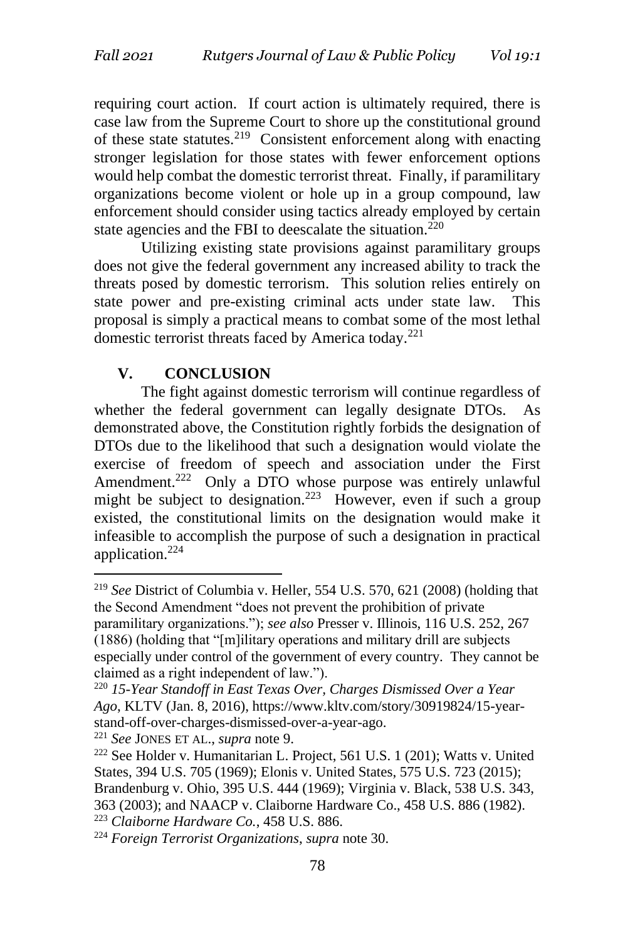requiring court action. If court action is ultimately required, there is case law from the Supreme Court to shore up the constitutional ground of these state statutes.<sup>219</sup> Consistent enforcement along with enacting stronger legislation for those states with fewer enforcement options would help combat the domestic terrorist threat. Finally, if paramilitary organizations become violent or hole up in a group compound, law enforcement should consider using tactics already employed by certain state agencies and the FBI to deescalate the situation.<sup>220</sup>

Utilizing existing state provisions against paramilitary groups does not give the federal government any increased ability to track the threats posed by domestic terrorism. This solution relies entirely on state power and pre-existing criminal acts under state law. This proposal is simply a practical means to combat some of the most lethal domestic terrorist threats faced by America today.<sup>221</sup>

### **V. CONCLUSION**

The fight against domestic terrorism will continue regardless of whether the federal government can legally designate DTOs. As demonstrated above, the Constitution rightly forbids the designation of DTOs due to the likelihood that such a designation would violate the exercise of freedom of speech and association under the First Amendment.<sup>222</sup> Only a DTO whose purpose was entirely unlawful might be subject to designation.<sup>223</sup> However, even if such a group existed, the constitutional limits on the designation would make it infeasible to accomplish the purpose of such a designation in practical application.<sup>224</sup>

<sup>221</sup> *See* JONES ET AL., *supra* note 9.

<sup>219</sup> *See* District of Columbia v. Heller, 554 U.S. 570, 621 (2008) (holding that the Second Amendment "does not prevent the prohibition of private paramilitary organizations."); *see also* Presser v. Illinois, 116 U.S. 252, 267 (1886) (holding that "[m]ilitary operations and military drill are subjects especially under control of the government of every country. They cannot be claimed as a right independent of law.").

<sup>220</sup> *15-Year Standoff in East Texas Over, Charges Dismissed Over a Year Ago*, KLTV (Jan. 8, 2016), https://www.kltv.com/story/30919824/15-yearstand-off-over-charges-dismissed-over-a-year-ago.

<sup>222</sup> See Holder v. Humanitarian L. Project, 561 U.S. 1 (201); Watts v. United States, 394 U.S. 705 (1969); Elonis v. United States, 575 U.S. 723 (2015); Brandenburg v. Ohio, 395 U.S. 444 (1969); Virginia v. Black, 538 U.S. 343, 363 (2003); and NAACP v. Claiborne Hardware Co., 458 U.S. 886 (1982). <sup>223</sup> *Claiborne Hardware Co.*, 458 U.S. 886.

<sup>224</sup> *Foreign Terrorist Organizations*, *supra* note 30.